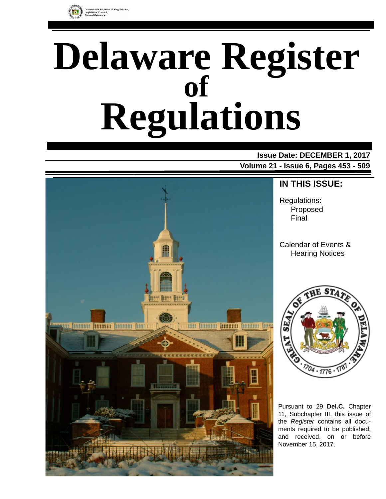

# **Delaware Register Regulations of**

# **Issue Date: DECEMBER 1, 2017**

**Volume 21 - Issue 6, Pages 453 - 509**



# **IN THIS ISSUE:**

Regulations: Proposed Final

Calendar of Events & Hearing Notices



Pursuant to 29 **Del.C.** Chapter 11, Subchapter III, this issue of the *Register* contains all documents required to be published, and received, on or before November 15, 2017.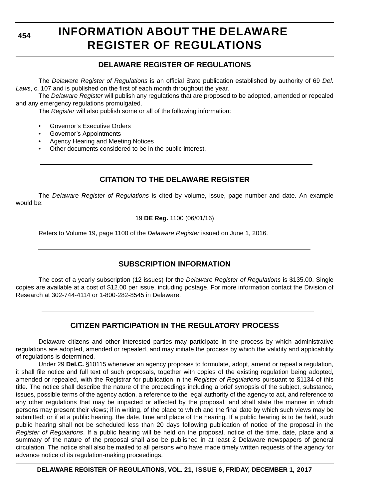**454**

# **INFORMATION ABOUT THE DELAWARE REGISTER OF REGULATIONS**

# **DELAWARE REGISTER OF REGULATIONS**

The *Delaware Register of Regulations* is an official State publication established by authority of 69 *Del. Laws*, c. 107 and is published on the first of each month throughout the year.

The *Delaware Register* will publish any regulations that are proposed to be adopted, amended or repealed and any emergency regulations promulgated.

The *Register* will also publish some or all of the following information:

- Governor's Executive Orders
- Governor's Appointments
- Agency Hearing and Meeting Notices
- Other documents considered to be in the public interest.

# **CITATION TO THE DELAWARE REGISTER**

The *Delaware Register of Regulations* is cited by volume, issue, page number and date. An example would be:

19 **DE Reg.** 1100 (06/01/16)

Refers to Volume 19, page 1100 of the *Delaware Register* issued on June 1, 2016.

# **SUBSCRIPTION INFORMATION**

The cost of a yearly subscription (12 issues) for the *Delaware Register of Regulations* is \$135.00. Single copies are available at a cost of \$12.00 per issue, including postage. For more information contact the Division of Research at 302-744-4114 or 1-800-282-8545 in Delaware.

# **CITIZEN PARTICIPATION IN THE REGULATORY PROCESS**

Delaware citizens and other interested parties may participate in the process by which administrative regulations are adopted, amended or repealed, and may initiate the process by which the validity and applicability of regulations is determined.

Under 29 **Del.C.** §10115 whenever an agency proposes to formulate, adopt, amend or repeal a regulation, it shall file notice and full text of such proposals, together with copies of the existing regulation being adopted, amended or repealed, with the Registrar for publication in the *Register of Regulations* pursuant to §1134 of this title. The notice shall describe the nature of the proceedings including a brief synopsis of the subject, substance, issues, possible terms of the agency action, a reference to the legal authority of the agency to act, and reference to any other regulations that may be impacted or affected by the proposal, and shall state the manner in which persons may present their views; if in writing, of the place to which and the final date by which such views may be submitted; or if at a public hearing, the date, time and place of the hearing. If a public hearing is to be held, such public hearing shall not be scheduled less than 20 days following publication of notice of the proposal in the *Register of Regulations*. If a public hearing will be held on the proposal, notice of the time, date, place and a summary of the nature of the proposal shall also be published in at least 2 Delaware newspapers of general circulation. The notice shall also be mailed to all persons who have made timely written requests of the agency for advance notice of its regulation-making proceedings.

**DELAWARE REGISTER OF REGULATIONS, VOL. 21, ISSUE 6, FRIDAY, DECEMBER 1, 2017**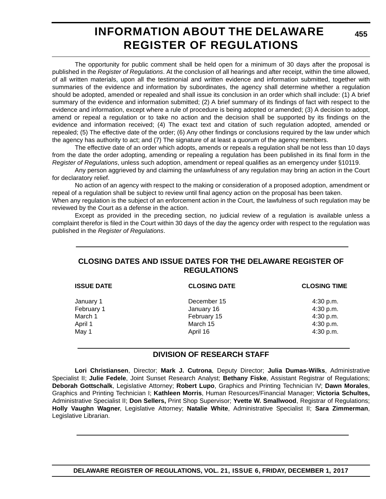# **INFORMATION ABOUT THE DELAWARE REGISTER OF REGULATIONS**

The opportunity for public comment shall be held open for a minimum of 30 days after the proposal is published in the *Register of Regulations*. At the conclusion of all hearings and after receipt, within the time allowed, of all written materials, upon all the testimonial and written evidence and information submitted, together with summaries of the evidence and information by subordinates, the agency shall determine whether a regulation should be adopted, amended or repealed and shall issue its conclusion in an order which shall include: (1) A brief summary of the evidence and information submitted; (2) A brief summary of its findings of fact with respect to the evidence and information, except where a rule of procedure is being adopted or amended; (3) A decision to adopt, amend or repeal a regulation or to take no action and the decision shall be supported by its findings on the evidence and information received; (4) The exact text and citation of such regulation adopted, amended or repealed; (5) The effective date of the order; (6) Any other findings or conclusions required by the law under which the agency has authority to act; and (7) The signature of at least a quorum of the agency members.

The effective date of an order which adopts, amends or repeals a regulation shall be not less than 10 days from the date the order adopting, amending or repealing a regulation has been published in its final form in the *Register of Regulations*, unless such adoption, amendment or repeal qualifies as an emergency under §10119.

Any person aggrieved by and claiming the unlawfulness of any regulation may bring an action in the Court for declaratory relief.

No action of an agency with respect to the making or consideration of a proposed adoption, amendment or repeal of a regulation shall be subject to review until final agency action on the proposal has been taken.

When any regulation is the subject of an enforcement action in the Court, the lawfulness of such regulation may be reviewed by the Court as a defense in the action.

Except as provided in the preceding section, no judicial review of a regulation is available unless a complaint therefor is filed in the Court within 30 days of the day the agency order with respect to the regulation was published in the *Register of Regulations*.

# **CLOSING DATES AND ISSUE DATES FOR THE DELAWARE REGISTER OF REGULATIONS**

| <b>ISSUE DATE</b> | <b>CLOSING DATE</b> | <b>CLOSING TIME</b> |  |  |
|-------------------|---------------------|---------------------|--|--|
| January 1         | December 15         | 4:30 p.m.           |  |  |
| February 1        | January 16          | 4:30 p.m.           |  |  |
| March 1           | February 15         | 4:30 p.m.           |  |  |
| April 1           | March 15            | 4:30 p.m.           |  |  |
| May 1             | April 16            | 4:30 p.m.           |  |  |
|                   |                     |                     |  |  |

# **DIVISION OF RESEARCH STAFF**

**Lori Christiansen**, Director; **Mark J. Cutrona**, Deputy Director; **Julia Dumas-Wilks**, Administrative Specialist II; **Julie Fedele**, Joint Sunset Research Analyst; **Bethany Fiske**, Assistant Registrar of Regulations; **Deborah Gottschalk**, Legislative Attorney; **Robert Lupo**, Graphics and Printing Technician IV; **Dawn Morales**, Graphics and Printing Technician I; **Kathleen Morris**, Human Resources/Financial Manager; **Victoria Schultes,** Administrative Specialist II; **Don Sellers,** Print Shop Supervisor; **Yvette W. Smallwood**, Registrar of Regulations; **Holly Vaughn Wagner**, Legislative Attorney; **Natalie White**, Administrative Specialist II; **Sara Zimmerman**, Legislative Librarian.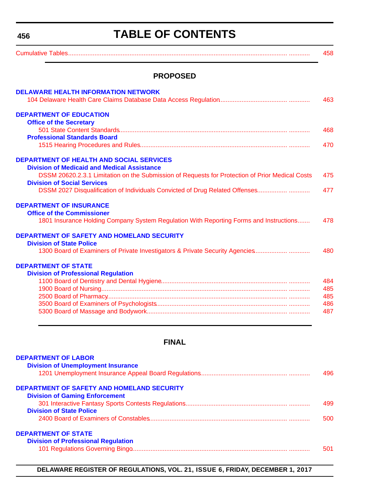<span id="page-3-0"></span>**456**

# **TABLE OF CONTENTS**

| r autoommuurin maanin maanin maanin maanin maanin maanin maanin maanin maanin maanin m |  |
|----------------------------------------------------------------------------------------|--|
|----------------------------------------------------------------------------------------|--|

# **PROPOSED**

| <b>DELAWARE HEALTH INFORMATION NETWORK</b><br>463                                                      |  |
|--------------------------------------------------------------------------------------------------------|--|
| <b>DEPARTMENT OF EDUCATION</b>                                                                         |  |
| <b>Office of the Secretary</b>                                                                         |  |
| 468                                                                                                    |  |
| <b>Professional Standards Board</b>                                                                    |  |
| 470                                                                                                    |  |
| <b>DEPARTMENT OF HEALTH AND SOCIAL SERVICES</b>                                                        |  |
| <b>Division of Medicaid and Medical Assistance</b>                                                     |  |
| DSSM 20620.2.3.1 Limitation on the Submission of Requests for Protection of Prior Medical Costs<br>475 |  |
| <b>Division of Social Services</b>                                                                     |  |
| 477                                                                                                    |  |
| <b>DEPARTMENT OF INSURANCE</b>                                                                         |  |
| <b>Office of the Commissioner</b>                                                                      |  |
| 1801 Insurance Holding Company System Regulation With Reporting Forms and Instructions<br>478          |  |
| <b>DEPARTMENT OF SAFETY AND HOMELAND SECURITY</b>                                                      |  |
| <b>Division of State Police</b>                                                                        |  |
| 1300 Board of Examiners of Private Investigators & Private Security Agencies<br>480                    |  |
| <b>DEPARTMENT OF STATE</b>                                                                             |  |
| <b>Division of Professional Regulation</b>                                                             |  |
| 484                                                                                                    |  |
| 485                                                                                                    |  |
| 485                                                                                                    |  |
| 486                                                                                                    |  |
| 487                                                                                                    |  |
|                                                                                                        |  |

# **FINAL**

| <b>Division of Unemployment Insurance</b><br><b>DEPARTMENT OF SAFETY AND HOMELAND SECURITY</b><br><b>Division of Gaming Enforcement</b><br><b>Division of State Police</b><br><b>DEPARTMENT OF STATE</b><br><b>Division of Professional Regulation</b> | <b>DEPARTMENT OF LABOR</b> |     |
|--------------------------------------------------------------------------------------------------------------------------------------------------------------------------------------------------------------------------------------------------------|----------------------------|-----|
|                                                                                                                                                                                                                                                        |                            |     |
|                                                                                                                                                                                                                                                        |                            | 496 |
|                                                                                                                                                                                                                                                        |                            |     |
|                                                                                                                                                                                                                                                        |                            |     |
|                                                                                                                                                                                                                                                        |                            | 499 |
|                                                                                                                                                                                                                                                        |                            |     |
|                                                                                                                                                                                                                                                        |                            | 500 |
|                                                                                                                                                                                                                                                        |                            |     |
|                                                                                                                                                                                                                                                        |                            |     |
|                                                                                                                                                                                                                                                        |                            | 501 |

**DELAWARE REGISTER OF REGULATIONS, VOL. 21, ISSUE 6, FRIDAY, DECEMBER 1, 2017**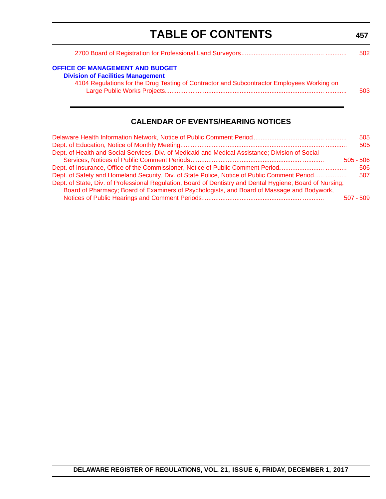<span id="page-4-0"></span>

| <b>TABLE OF CONTENTS</b>                                                                                                                                                         |      |
|----------------------------------------------------------------------------------------------------------------------------------------------------------------------------------|------|
|                                                                                                                                                                                  | 502  |
| <b>OFFICE OF MANAGEMENT AND BUDGET</b><br><b>Division of Facilities Management</b><br>4104 Regulations for the Drug Testing of Contractor and Subcontractor Employees Working on | 503. |
|                                                                                                                                                                                  |      |

|                                                                                                           | 505         |
|-----------------------------------------------------------------------------------------------------------|-------------|
|                                                                                                           | 505         |
| Dept. of Health and Social Services, Div. of Medicaid and Medical Assistance; Division of Social          |             |
|                                                                                                           | $505 - 506$ |
|                                                                                                           | 506         |
| Dept. of Safety and Homeland Security, Div. of State Police, Notice of Public Comment Period              | 507         |
| Dept. of State, Div. of Professional Regulation, Board of Dentistry and Dental Hygiene; Board of Nursing; |             |
| Board of Pharmacy; Board of Examiners of Psychologists, and Board of Massage and Bodywork,                |             |
|                                                                                                           | $507 - 509$ |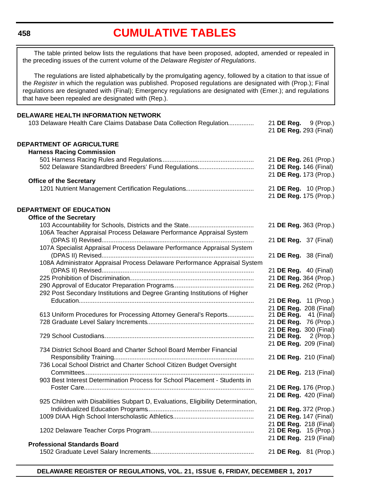#### <span id="page-5-0"></span>**458**

# **[CUMULATIVE TABLES](#page-3-0)**

The table printed below lists the regulations that have been proposed, adopted, amended or repealed in the preceding issues of the current volume of the *Delaware Register of Regulations*.

The regulations are listed alphabetically by the promulgating agency, followed by a citation to that issue of the *Register* in which the regulation was published. Proposed regulations are designated with (Prop.); Final regulations are designated with (Final); Emergency regulations are designated with (Emer.); and regulations that have been repealed are designated with (Rep.).

| <b>DELAWARE HEALTH INFORMATION NETWORK</b>                                        |                                                        |
|-----------------------------------------------------------------------------------|--------------------------------------------------------|
| 103 Delaware Health Care Claims Database Data Collection Regulation               | 21 DE Reg. 9 (Prop.)                                   |
|                                                                                   | 21 DE Reg. 293 (Final)                                 |
| DEPARTMENT OF AGRICULTURE                                                         |                                                        |
| <b>Harness Racing Commission</b>                                                  |                                                        |
|                                                                                   | 21 DE Reg. 261 (Prop.)                                 |
| 502 Delaware Standardbred Breeders' Fund Regulations                              | 21 DE Reg. 146 (Final)                                 |
|                                                                                   | 21 DE Reg. 173 (Prop.)                                 |
| <b>Office of the Secretary</b>                                                    |                                                        |
|                                                                                   | 21 DE Reg. 10 (Prop.)                                  |
|                                                                                   | 21 DE Reg. 175 (Prop.)                                 |
| DEPARTMENT OF EDUCATION                                                           |                                                        |
| <b>Office of the Secretary</b>                                                    |                                                        |
|                                                                                   | 21 DE Reg. 363 (Prop.)                                 |
| 106A Teacher Appraisal Process Delaware Performance Appraisal System              |                                                        |
|                                                                                   | 21 DE Reg. 37 (Final)                                  |
| 107A Specialist Appraisal Process Delaware Performance Appraisal System           |                                                        |
|                                                                                   | 21 DE Reg. 38 (Final)                                  |
| 108A Administrator Appraisal Process Delaware Performance Appraisal System        |                                                        |
|                                                                                   | 21 <b>DE Reg.</b> 40 (Final)                           |
|                                                                                   | 21 DE Reg. 364 (Prop.)                                 |
|                                                                                   | 21 DE Reg. 262 (Prop.)                                 |
| 292 Post Secondary Institutions and Degree Granting Institutions of Higher        |                                                        |
|                                                                                   | 21 DE Reg. 11 (Prop.)                                  |
| 613 Uniform Procedures for Processing Attorney General's Reports                  | 21 DE Reg. 208 (Final)<br>21 <b>DE Reg.</b> 41 (Final) |
|                                                                                   | 21 DE Reg. 76 (Prop.)                                  |
|                                                                                   | 21 DE Reg. 300 (Final)                                 |
|                                                                                   | 21 DE Reg.<br>$2$ (Prop.)                              |
|                                                                                   | 21 DE Reg. 209 (Final)                                 |
| 734 District School Board and Charter School Board Member Financial               |                                                        |
|                                                                                   | 21 DE Reg. 210 (Final)                                 |
| 736 Local School District and Charter School Citizen Budget Oversight             | 21 DE Reg. 213 (Final)                                 |
| 903 Best Interest Determination Process for School Placement - Students in        |                                                        |
|                                                                                   | 21 DE Reg. 176 (Prop.)                                 |
|                                                                                   | 21 <b>DE Reg.</b> 420 (Final)                          |
| 925 Children with Disabilities Subpart D, Evaluations, Eligibility Determination, |                                                        |
|                                                                                   | 21 DE Reg. 372 (Prop.)                                 |
|                                                                                   | 21 DE Reg. 147 (Final)                                 |
|                                                                                   | 21 DE Reg. 218 (Final)                                 |
|                                                                                   | 21 DE Reg. 15 (Prop.)                                  |
| <b>Professional Standards Board</b>                                               | 21 DE Reg. 219 (Final)                                 |
|                                                                                   | 21 DE Reg. 81 (Prop.)                                  |
|                                                                                   |                                                        |

**DELAWARE REGISTER OF REGULATIONS, VOL. 21, ISSUE 6, FRIDAY, DECEMBER 1, 2017**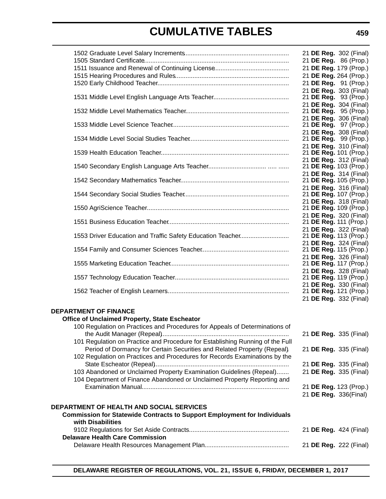# **CUMULATIVE TABLES**

|                                                                                                                                                           |  | 21 DE Reg. 302 (Final)<br>21 DE Reg. 86 (Prop.)  |
|-----------------------------------------------------------------------------------------------------------------------------------------------------------|--|--------------------------------------------------|
|                                                                                                                                                           |  | 21 DE Reg. 179 (Prop.)                           |
|                                                                                                                                                           |  | 21 DE Reg. 264 (Prop.)                           |
|                                                                                                                                                           |  | 21 DE Reg. 91 (Prop.)                            |
|                                                                                                                                                           |  | 21 DE Reg. 303 (Final)                           |
|                                                                                                                                                           |  | 21 DE Reg. 93 (Prop.)<br>21 DE Reg. 304 (Final)  |
|                                                                                                                                                           |  | 21 DE Reg. 95 (Prop.)<br>21 DE Reg. 306 (Final)  |
|                                                                                                                                                           |  | 21 DE Reg. 97 (Prop.)<br>21 DE Reg. 308 (Final)  |
|                                                                                                                                                           |  | 21 DE Reg. 99 (Prop.)<br>21 DE Reg. 310 (Final)  |
|                                                                                                                                                           |  | 21 DE Reg. 101 (Prop.)<br>21 DE Reg. 312 (Final) |
|                                                                                                                                                           |  | 21 DE Reg. 103 (Prop.)<br>21 DE Reg. 314 (Final) |
|                                                                                                                                                           |  | 21 DE Reg. 105 (Prop.)<br>21 DE Reg. 316 (Final) |
|                                                                                                                                                           |  | 21 DE Reg. 107 (Prop.)<br>21 DE Reg. 318 (Final) |
|                                                                                                                                                           |  | 21 DE Reg. 109 (Prop.)<br>21 DE Reg. 320 (Final) |
|                                                                                                                                                           |  | 21 DE Reg. 111 (Prop.)<br>21 DE Reg. 322 (Final) |
| 1553 Driver Education and Traffic Safety Education Teacher                                                                                                |  | 21 DE Reg. 113 (Prop.)<br>21 DE Reg. 324 (Final) |
|                                                                                                                                                           |  | 21 DE Reg. 115 (Prop.)<br>21 DE Reg. 326 (Final) |
|                                                                                                                                                           |  | 21 DE Reg. 117 (Prop.)<br>21 DE Reg. 328 (Final) |
|                                                                                                                                                           |  | 21 DE Reg. 119 (Prop.)<br>21 DE Reg. 330 (Final) |
|                                                                                                                                                           |  | 21 DE Reg. 121 (Prop.)<br>21 DE Reg. 332 (Final) |
| <b>DEPARTMENT OF FINANCE</b><br><b>Office of Unclaimed Property, State Escheator</b>                                                                      |  |                                                  |
| 100 Regulation on Practices and Procedures for Appeals of Determinations of                                                                               |  |                                                  |
|                                                                                                                                                           |  | 21 DE Reg. 335 (Final)                           |
| 101 Regulation on Practice and Procedure for Establishing Running of the Full<br>Period of Dormancy for Certain Securities and Related Property (Repeal). |  | 21 DE Reg. 335 (Final)                           |
| 102 Regulation on Practices and Procedures for Records Examinations by the                                                                                |  |                                                  |
|                                                                                                                                                           |  | 21 DE Reg. 335 (Final)                           |
| 103 Abandoned or Unclaimed Property Examination Guidelines (Repeal)<br>104 Department of Finance Abandoned or Unclaimed Property Reporting and            |  | 21 DE Reg. 335 (Final)                           |
|                                                                                                                                                           |  | 21 DE Reg. 123 (Prop.)<br>21 DE Reg. 336(Final)  |
| DEPARTMENT OF HEALTH AND SOCIAL SERVICES                                                                                                                  |  |                                                  |
| <b>Commission for Statewide Contracts to Support Employment for Individuals</b><br>with Disabilities                                                      |  |                                                  |
| <b>Delaware Health Care Commission</b>                                                                                                                    |  | 21 DE Reg. 424 (Final)                           |
|                                                                                                                                                           |  | 21 DE Reg. 222 (Final)                           |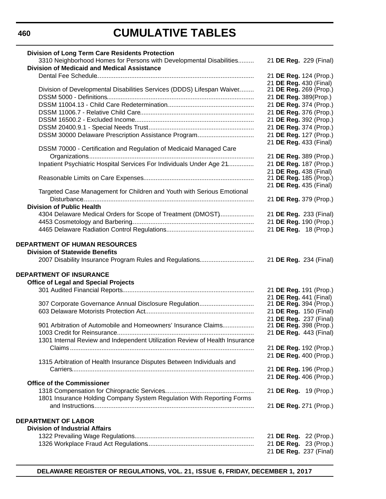# **CUMULATIVE TABLES**

| <b>Division of Long Term Care Residents Protection</b>                      |                                                  |
|-----------------------------------------------------------------------------|--------------------------------------------------|
| 3310 Neighborhood Homes for Persons with Developmental Disabilities         | 21 DE Reg. 229 (Final)                           |
| <b>Division of Medicaid and Medical Assistance</b>                          |                                                  |
|                                                                             | 21 DE Reg. 124 (Prop.)                           |
|                                                                             | 21 DE Reg. 430 (Final)                           |
| Division of Developmental Disabilities Services (DDDS) Lifespan Waiver      | 21 DE Reg. 269 (Prop.)                           |
|                                                                             | 21 DE Reg. 389(Prop.)                            |
|                                                                             | 21 DE Reg. 374 (Prop.)                           |
|                                                                             | 21 DE Reg. 376 (Prop.)                           |
|                                                                             | 21 DE Reg. 392 (Prop.)                           |
|                                                                             | 21 DE Reg. 374 (Prop.)                           |
| DSSM 30000 Delaware Prescription Assistance Program                         | 21 DE Reg. 127 (Prop.)                           |
|                                                                             | 21 DE Reg. 433 (Final)                           |
| DSSM 70000 - Certification and Regulation of Medicaid Managed Care          |                                                  |
|                                                                             | 21 DE Reg. 389 (Prop.)                           |
| Inpatient Psychiatric Hospital Services For Individuals Under Age 21        | 21 DE Reg. 187 (Prop.)                           |
|                                                                             | 21 DE Reg. 438 (Final)                           |
|                                                                             | 21 DE Reg. 185 (Prop.)                           |
|                                                                             |                                                  |
| Targeted Case Management for Children and Youth with Serious Emotional      | 21 DE Reg. 435 (Final)                           |
|                                                                             | 21 DE Reg. 379 (Prop.)                           |
| <b>Division of Public Health</b>                                            |                                                  |
|                                                                             |                                                  |
| 4304 Delaware Medical Orders for Scope of Treatment (DMOST)                 | 21 DE Reg. 233 (Final)                           |
|                                                                             | 21 DE Reg. 190 (Prop.)                           |
|                                                                             | 21 DE Reg. 18 (Prop.)                            |
| <b>Division of Statewide Benefits</b>                                       |                                                  |
| 2007 Disability Insurance Program Rules and Regulations                     | 21 DE Reg. 234 (Final)                           |
|                                                                             |                                                  |
|                                                                             |                                                  |
| <b>Office of Legal and Special Projects</b>                                 |                                                  |
|                                                                             |                                                  |
|                                                                             | 21 DE Reg. 191 (Prop.)                           |
| 307 Corporate Governance Annual Disclosure Regulation                       | 21 DE Reg. 441 (Final)<br>21 DE Reg. 394 (Prop.) |
|                                                                             | 21 DE Reg. 150 (Final)                           |
| <b>DEPARTMENT OF INSURANCE</b>                                              |                                                  |
| 901 Arbitration of Automobile and Homeowners' Insurance Claims              | 21 DE Reg. 237 (Final)<br>21 DE Reg. 398 (Prop.) |
|                                                                             | 21 DE Reg. 443 (Final)                           |
|                                                                             |                                                  |
| 1301 Internal Review and Independent Utilization Review of Health Insurance |                                                  |
|                                                                             | 21 DE Reg. 192 (Prop.)                           |
|                                                                             | 21 DE Reg. 400 (Prop.)                           |
| 1315 Arbitration of Health Insurance Disputes Between Individuals and       |                                                  |
|                                                                             | 21 DE Reg. 196 (Prop.)                           |
| <b>Office of the Commissioner</b>                                           | 21 DE Reg. 406 (Prop.)                           |
|                                                                             |                                                  |
|                                                                             | 21 DE Reg. 19 (Prop.)                            |
| 1801 Insurance Holding Company System Regulation With Reporting Forms       |                                                  |
|                                                                             | 21 DE Reg. 271 (Prop.)                           |
|                                                                             |                                                  |
| <b>DEPARTMENT OF LABOR</b>                                                  |                                                  |
| <b>Division of Industrial Affairs</b>                                       |                                                  |
|                                                                             | 21 DE Reg. 22 (Prop.)                            |
|                                                                             | 21 DE Reg. 23 (Prop.)<br>21 DE Reg. 237 (Final)  |

**DELAWARE REGISTER OF REGULATIONS, VOL. 21, ISSUE 6, FRIDAY, DECEMBER 1, 2017**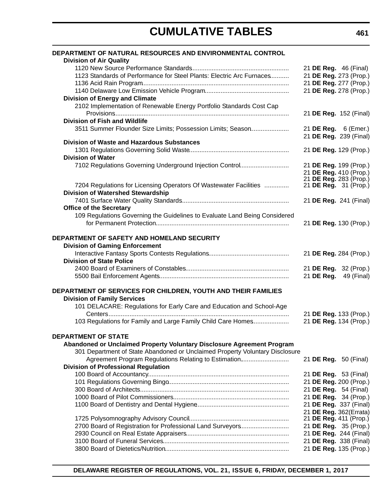| DEPARTMENT OF NATURAL RESOURCES AND ENVIRONMENTAL CONTROL<br><b>Division of Air Quality</b>                                                                                          |                                                                          |  |
|--------------------------------------------------------------------------------------------------------------------------------------------------------------------------------------|--------------------------------------------------------------------------|--|
|                                                                                                                                                                                      | 21 DE Reg. 46 (Final)                                                    |  |
| 1123 Standards of Performance for Steel Plants: Electric Arc Furnaces                                                                                                                | 21 DE Reg. 273 (Prop.)                                                   |  |
|                                                                                                                                                                                      | 21 DE Reg. 277 (Prop.)                                                   |  |
|                                                                                                                                                                                      | 21 DE Reg. 278 (Prop.)                                                   |  |
| <b>Division of Energy and Climate</b>                                                                                                                                                |                                                                          |  |
| 2102 Implementation of Renewable Energy Portfolio Standards Cost Cap                                                                                                                 |                                                                          |  |
|                                                                                                                                                                                      | 21 DE Reg. 152 (Final)                                                   |  |
| <b>Division of Fish and Wildlife</b>                                                                                                                                                 |                                                                          |  |
| 3511 Summer Flounder Size Limits; Possession Limits; Season                                                                                                                          | 21 DE Reg. 6 (Emer.)                                                     |  |
| <b>Division of Waste and Hazardous Substances</b>                                                                                                                                    | 21 DE Reg. 239 (Final)                                                   |  |
|                                                                                                                                                                                      | 21 DE Reg. 129 (Prop.)                                                   |  |
| <b>Division of Water</b>                                                                                                                                                             |                                                                          |  |
| 7102 Regulations Governing Underground Injection Control                                                                                                                             | 21 DE Reg. 199 (Prop.)                                                   |  |
|                                                                                                                                                                                      | 21 DE Reg. 410 (Prop.)                                                   |  |
|                                                                                                                                                                                      | 21 DE Reg. 283 (Prop.)                                                   |  |
| 7204 Regulations for Licensing Operators Of Wastewater Facilities                                                                                                                    | 21 DE Reg. 31 (Prop.)                                                    |  |
| <b>Division of Watershed Stewardship</b>                                                                                                                                             |                                                                          |  |
|                                                                                                                                                                                      | 21 DE Reg. 241 (Final)                                                   |  |
| <b>Office of the Secretary</b>                                                                                                                                                       |                                                                          |  |
| 109 Regulations Governing the Guidelines to Evaluate Land Being Considered                                                                                                           |                                                                          |  |
|                                                                                                                                                                                      | 21 DE Reg. 130 (Prop.)                                                   |  |
| DEPARTMENT OF SAFETY AND HOMELAND SECURITY<br><b>Division of Gaming Enforcement</b><br><b>Division of State Police</b>                                                               | 21 DE Reg. 284 (Prop.)<br>21 DE Reg. 32 (Prop.)<br>21 DE Reg. 49 (Final) |  |
| DEPARTMENT OF SERVICES FOR CHILDREN, YOUTH AND THEIR FAMILIES<br><b>Division of Family Services</b>                                                                                  |                                                                          |  |
| 101 DELACARE: Regulations for Early Care and Education and School-Age                                                                                                                |                                                                          |  |
|                                                                                                                                                                                      | 21 DE Reg. 133 (Prop.)                                                   |  |
| 103 Regulations for Family and Large Family Child Care Homes                                                                                                                         | 21 DE Reg. 134 (Prop.)                                                   |  |
|                                                                                                                                                                                      |                                                                          |  |
| <b>DEPARTMENT OF STATE</b><br>Abandoned or Unclaimed Property Voluntary Disclosure Agreement Program<br>301 Department of State Abandoned or Unclaimed Property Voluntary Disclosure |                                                                          |  |
| Agreement Program Regulations Relating to Estimation                                                                                                                                 | 21 <b>DE Reg.</b> 50 (Final)                                             |  |
| <b>Division of Professional Regulation</b>                                                                                                                                           |                                                                          |  |
|                                                                                                                                                                                      | 21 <b>DE Reg.</b> 53 (Final)                                             |  |
|                                                                                                                                                                                      | 21 DE Reg. 200 (Prop.)                                                   |  |
|                                                                                                                                                                                      | 21 DE Reg. 54 (Final)                                                    |  |
|                                                                                                                                                                                      | 21 DE Reg. 34 (Prop.)                                                    |  |
|                                                                                                                                                                                      | 21 DE Reg. 337 (Final)                                                   |  |
|                                                                                                                                                                                      | 21 DE Reg. 362(Errata)<br>21 DE Reg. 411 (Prop.)                         |  |
| 2700 Board of Registration for Professional Land Surveyors                                                                                                                           | 21 DE Reg. 35 (Prop.)                                                    |  |
|                                                                                                                                                                                      | 21 DE Reg. 244 (Final)                                                   |  |
|                                                                                                                                                                                      | 21 DE Reg. 338 (Final)                                                   |  |
|                                                                                                                                                                                      | 21 DE Reg. 135 (Prop.)                                                   |  |
|                                                                                                                                                                                      |                                                                          |  |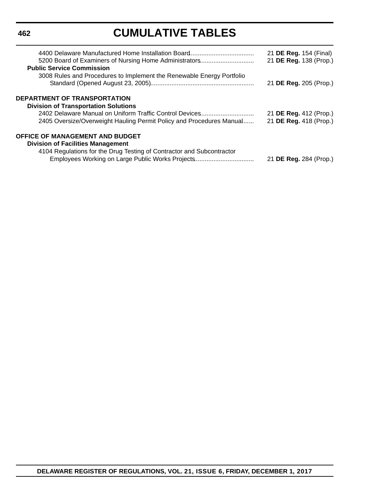# **CUMULATIVE TABLES**

| 5200 Board of Examiners of Nursing Home Administrators<br><b>Public Service Commission</b> | 21 DE Reg. 154 (Final)<br>21 DE Reg. 138 (Prop.) |
|--------------------------------------------------------------------------------------------|--------------------------------------------------|
| 3008 Rules and Procedures to Implement the Renewable Energy Portfolio                      |                                                  |
|                                                                                            | 21 DE Reg. 205 (Prop.)                           |
| <b>DEPARTMENT OF TRANSPORTATION</b>                                                        |                                                  |
| <b>Division of Transportation Solutions</b>                                                |                                                  |
| 2402 Delaware Manual on Uniform Traffic Control Devices                                    | 21 DE Reg. 412 (Prop.)                           |
| 2405 Oversize/Overweight Hauling Permit Policy and Procedures Manual                       | 21 DE Reg. 418 (Prop.)                           |
| <b>OFFICE OF MANAGEMENT AND BUDGET</b>                                                     |                                                  |
| <b>Division of Facilities Management</b>                                                   |                                                  |
| 4104 Regulations for the Drug Testing of Contractor and Subcontractor                      |                                                  |
| Employees Working on Large Public Works Projects                                           | 21 <b>DE Reg.</b> 284 (Prop.)                    |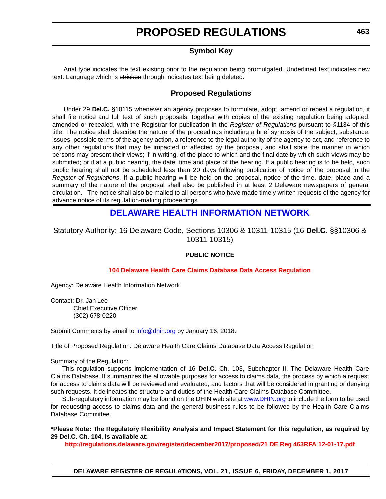# **Symbol Key**

<span id="page-10-0"></span>Arial type indicates the text existing prior to the regulation being promulgated. Underlined text indicates new text. Language which is stricken through indicates text being deleted.

# **Proposed Regulations**

Under 29 **Del.C.** §10115 whenever an agency proposes to formulate, adopt, amend or repeal a regulation, it shall file notice and full text of such proposals, together with copies of the existing regulation being adopted, amended or repealed, with the Registrar for publication in the *Register of Regulations* pursuant to §1134 of this title. The notice shall describe the nature of the proceedings including a brief synopsis of the subject, substance, issues, possible terms of the agency action, a reference to the legal authority of the agency to act, and reference to any other regulations that may be impacted or affected by the proposal, and shall state the manner in which persons may present their views; if in writing, of the place to which and the final date by which such views may be submitted; or if at a public hearing, the date, time and place of the hearing. If a public hearing is to be held, such public hearing shall not be scheduled less than 20 days following publication of notice of the proposal in the *Register of Regulations*. If a public hearing will be held on the proposal, notice of the time, date, place and a summary of the nature of the proposal shall also be published in at least 2 Delaware newspapers of general circulation. The notice shall also be mailed to all persons who have made timely written requests of the agency for advance notice of its regulation-making proceedings.

# **[DELAWARE HEALTH INFORMATION NETWORK](https://dhin.org/)**

# Statutory Authority: 16 Delaware Code, Sections 10306 & 10311-10315 (16 **Del.C.** §§10306 & 10311-10315)

### **PUBLIC NOTICE**

### **[104 Delaware Health Care Claims Database Data Access Regulation](#page-3-0)**

Agency: Delaware Health Information Network

Contact: Dr. Jan Lee Chief Executive Officer (302) 678-0220

Submit Comments by email to<info@dhin.org>by January 16, 2018.

Title of Proposed Regulation: Delaware Health Care Claims Database Data Access Regulation

Summary of the Regulation:

This regulation supports implementation of 16 **Del.C.** Ch. 103, Subchapter II, The Delaware Health Care Claims Database. It summarizes the allowable purposes for access to claims data, the process by which a request for access to claims data will be reviewed and evaluated, and factors that will be considered in granting or denying such requests. It delineates the structure and duties of the Health Care Claims Database Committee.

Sub-regulatory information may be found on the DHIN web site at <www.DHIN.org> to include the form to be used for requesting access to claims data and the general business rules to be followed by the Health Care Claims Database Committee.

**\*Please Note: The Regulatory Flexibility Analysis and Impact Statement for this regulation, as required by 29 Del.C. Ch. 104, is available at:**

**<http://regulations.delaware.gov/register/december2017/proposed/21 DE Reg 463RFA 12-01-17.pdf>**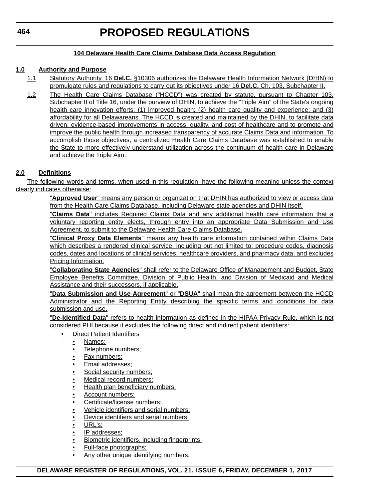### **104 Delaware Health Care Claims Database Data Access Regulation**

# **1.0 Authority and Purpose**

- 1.1 Statutory Authority. 16 **Del.C.** §10306 authorizes the Delaware Health Information Network (DHIN) to promulgate rules and regulations to carry out its objectives under 16 **Del.C.** Ch. 103, Subchapter II.
- 1.2 The Health Care Claims Database ("HCCD") was created by statute, pursuant to Chapter 103, Subchapter II of Title 16, under the purview of DHIN, to achieve the "Triple Aim" of the State's ongoing health care innovation efforts: (1) improved health; (2) health care quality and experience; and (3) affordability for all Delawareans. The HCCD is created and maintained by the DHIN, to facilitate data driven, evidence-based improvements in access, quality, and cost of healthcare and to promote and improve the public health through increased transparency of accurate Claims Data and information. To accomplish those objectives, a centralized Health Care Claims Database was established to enable the State to more effectively understand utilization across the continuum of health care in Delaware and achieve the Triple Aim.

# **2.0 Definitions**

The following words and terms, when used in this regulation, have the following meaning unless the context clearly indicates otherwise:

> "**Approved User**" means any person or organization that DHIN has authorized to view or access data from the Health Care Claims Database, including Delaware state agencies and DHIN itself.

> "**Claims Data**" includes Required Claims Data and any additional health care information that a voluntary reporting entity elects, through entry into an appropriate Data Submission and Use Agreement, to submit to the Delaware Health Care Claims Database.

> "**Clinical Proxy Data Elements**" means any health care information contained within Claims Data which describes a rendered clinical service, including but not limited to: procedure codes, diagnosis codes, dates and locations of clinical services, healthcare providers, and pharmacy data, and excludes Pricing Information.

> "**Collaborating State Agencies**" shall refer to the Delaware Office of Management and Budget, State Employee Benefits Committee, Division of Public Health, and Division of Medicaid and Medical Assistance and their successors, if applicable.

> "**Data Submission and Use Agreement**" or "**DSUA**" shall mean the agreement between the HCCD Administrator and the Reporting Entity describing the specific terms and conditions for data submission and use.

> "**De-Identified Data**" refers to health information as defined in the HIPAA Privacy Rule, which is not considered PHI because it excludes the following direct and indirect patient identifiers:

- Direct Patient Identifiers
	- Names;
	- Telephone numbers;
	- Fax numbers;
	- Email addresses;
	- Social security numbers;
	- Medical record numbers;
	- Health plan beneficiary numbers;
	- Account numbers;
	- Certificate/license numbers;
	- Vehicle identifiers and serial numbers;
	- Device identifiers and serial numbers;
	- URL's;
	- IP addresses;
	- Biometric identifiers, including fingerprints;
	- Full-face photographs;
	- Any other unique identifying numbers.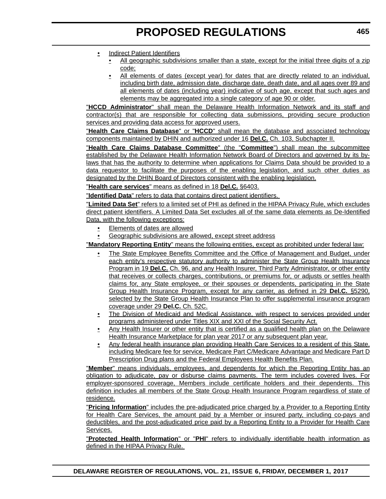- Indirect Patient Identifiers
	- All geographic subdivisions smaller than a state, except for the initial three digits of a zip code;
	- All elements of dates (except year) for dates that are directly related to an individual, including birth date, admission date, discharge date, death date, and all ages over 89 and all elements of dates (including year) indicative of such age, except that such ages and elements may be aggregated into a single category of age 90 or older.

"**HCCD Administrator**" shall mean the Delaware Health Information Network and its staff and contractor(s) that are responsible for collecting data submissions, providing secure production services and providing data access for approved users.

"**Health Care Claims Database**" or "**HCCD**" shall mean the database and associated technology components maintained by DHIN and authorized under 16 **Del.C.** Ch. 103, Subchapter II.

"**Health Care Claims Database Committee**" (the "**Committee**") shall mean the subcommittee established by the Delaware Health Information Network Board of Directors and governed by its bylaws that has the authority to determine when applications for Claims Data should be provided to a data requestor to facilitate the purposes of the enabling legislation, and such other duties as designated by the DHIN Board of Directors consistent with the enabling legislation.

"**Health care services**" means as defined in 18 **Del.C.** §6403.

"**Identified Data**" refers to data that contains direct patient identifiers.

"**Limited Data Set**" refers to a limited set of PHI as defined in the HIPAA Privacy Rule, which excludes direct patient identifiers. A Limited Data Set excludes all of the same data elements as De-Identified Data, with the following exceptions:

- Elements of dates are allowed
- Geographic subdivisions are allowed, except street address

"**Mandatory Reporting Entity**" means the following entities, except as prohibited under federal law:

- The State Employee Benefits Committee and the Office of Management and Budget, under each entity's respective statutory authority to administer the State Group Health Insurance Program in 19 **Del.C.** Ch. 96, and any Health Insurer, Third Party Administrator, or other entity that receives or collects charges, contributions, or premiums for, or adjusts or settles health claims for, any State employee, or their spouses or dependents, participating in the State Group Health Insurance Program, except for any carrier, as defined in 29 **Del.C.** §5290, selected by the State Group Health Insurance Plan to offer supplemental insurance program coverage under 29 **Del.C.** Ch. 52C.
- The Division of Medicaid and Medical Assistance, with respect to services provided under programs administered under Titles XIX and XXI of the Social Security Act.
- Any Health Insurer or other entity that is certified as a qualified health plan on the Delaware Health Insurance Marketplace for plan year 2017 or any subsequent plan year.
- Any federal health insurance plan providing Health Care Services to a resident of this State, including Medicare fee for service, Medicare Part C/Medicare Advantage and Medicare Part D Prescription Drug plans and the Federal Employees Health Benefits Plan.

"**Member**" means individuals, employees, and dependents for which the Reporting Entity has an obligation to adjudicate, pay or disburse claims payments. The term includes covered lives. For employer-sponsored coverage, Members include certificate holders and their dependents. This definition includes all members of the State Group Health Insurance Program regardless of state of residence.

"**Pricing Information**" includes the pre-adjudicated price charged by a Provider to a Reporting Entity for Health Care Services, the amount paid by a Member or insured party, including co-pays and deductibles, and the post-adjudicated price paid by a Reporting Entity to a Provider for Health Care Services.

"**Protected Health Information**" or "**PHI**" refers to individually identifiable health information as defined in the HIPAA Privacy Rule.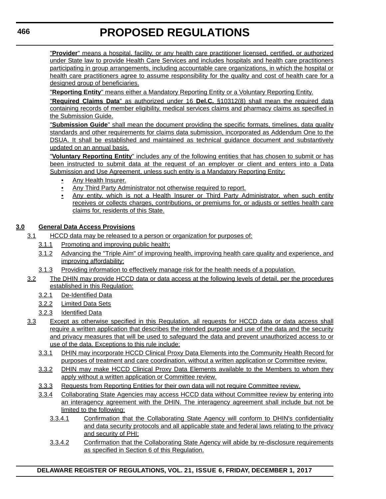"**Provider**" means a hospital, facility, or any health care practitioner licensed, certified, or authorized under State law to provide Health Care Services and includes hospitals and health care practitioners participating in group arrangements, including accountable care organizations, in which the hospital or health care practitioners agree to assume responsibility for the quality and cost of health care for a designed group of beneficiaries.

"**Reporting Entity**" means either a Mandatory Reporting Entity or a Voluntary Reporting Entity.

"**Required Claims Data**" as authorized under 16 **Del.C.** §10312(8) shall mean the required data containing records of member eligibility, medical services claims and pharmacy claims as specified in the Submission Guide.

"**Submission Guide**" shall mean the document providing the specific formats, timelines, data quality standards and other requirements for claims data submission, incorporated as Addendum One to the DSUA. It shall be established and maintained as technical guidance document and substantively updated on an annual basis.

"**Voluntary Reporting Entity**" includes any of the following entities that has chosen to submit or has been instructed to submit data at the request of an employer or client and enters into a Data Submission and Use Agreement, unless such entity is a Mandatory Reporting Entity:

- Any Health Insurer.
- Any Third Party Administrator not otherwise required to report.
- Any entity, which is not a Health Insurer or Third Party Administrator, when such entity receives or collects charges, contributions, or premiums for, or adjusts or settles health care claims for, residents of this State.

# **3.0 General Data Access Provisions**

- 3.1 HCCD data may be released to a person or organization for purposes of:
	- 3.1.1 Promoting and improving public health;
	- 3.1.2 Advancing the "Triple Aim" of improving health, improving health care quality and experience, and improving affordability;
	- 3.1.3 Providing information to effectively manage risk for the health needs of a population.
- 3.2 The DHIN may provide HCCD data or data access at the following levels of detail, per the procedures established in this Regulation:
	- 3.2.1 De-Identified Data
	- 3.2.2 Limited Data Sets
	- 3.2.3 Identified Data
- 3.3 Except as otherwise specified in this Regulation, all requests for HCCD data or data access shall require a written application that describes the intended purpose and use of the data and the security and privacy measures that will be used to safeguard the data and prevent unauthorized access to or use of the data. Exceptions to this rule include:
	- 3.3.1 DHIN may incorporate HCCD Clinical Proxy Data Elements into the Community Health Record for purposes of treatment and care coordination, without a written application or Committee review.
	- 3.3.2 DHIN may make HCCD Clinical Proxy Data Elements available to the Members to whom they apply without a written application or Committee review.
	- 3.3.3 Requests from Reporting Entities for their own data will not require Committee review.
	- 3.3.4 Collaborating State Agencies may access HCCD data without Committee review by entering into an interagency agreement with the DHIN. The interagency agreement shall include but not be limited to the following:
		- 3.3.4.1 Confirmation that the Collaborating State Agency will conform to DHIN's confidentiality and data security protocols and all applicable state and federal laws relating to the privacy and security of PHI;
		- 3.3.4.2 Confirmation that the Collaborating State Agency will abide by re-disclosure requirements as specified in Section 6 of this Regulation.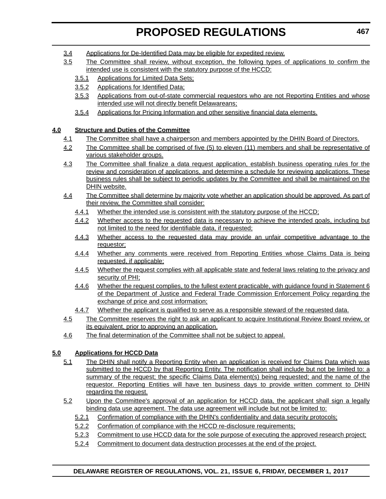- 3.4 Applications for De-Identified Data may be eligible for expedited review.
- 3.5 The Committee shall review, without exception, the following types of applications to confirm the intended use is consistent with the statutory purpose of the HCCD:
	- 3.5.1 Applications for Limited Data Sets;
	- 3.5.2 Applications for Identified Data;
	- 3.5.3 Applications from out-of-state commercial requestors who are not Reporting Entities and whose intended use will not directly benefit Delawareans;
	- 3.5.4 Applications for Pricing Information and other sensitive financial data elements.

# **4.0 Structure and Duties of the Committee**

- 4.1 The Committee shall have a chairperson and members appointed by the DHIN Board of Directors.
- 4.2 The Committee shall be comprised of five (5) to eleven (11) members and shall be representative of various stakeholder groups.
- 4.3 The Committee shall finalize a data request application, establish business operating rules for the review and consideration of applications, and determine a schedule for reviewing applications. These business rules shall be subject to periodic updates by the Committee and shall be maintained on the DHIN website.
- 4.4 The Committee shall determine by majority vote whether an application should be approved. As part of their review, the Committee shall consider:
	- 4.4.1 Whether the intended use is consistent with the statutory purpose of the HCCD;
	- 4.4.2 Whether access to the requested data is necessary to achieve the intended goals, including but not limited to the need for identifiable data, if requested;
	- 4.4.3 Whether access to the requested data may provide an unfair competitive advantage to the requestor;
	- 4.4.4 Whether any comments were received from Reporting Entities whose Claims Data is being requested, if applicable;
	- 4.4.5 Whether the request complies with all applicable state and federal laws relating to the privacy and security of PHI;
	- 4.4.6 Whether the request complies, to the fullest extent practicable, with guidance found in Statement 6 of the Department of Justice and Federal Trade Commission Enforcement Policy regarding the exchange of price and cost information;
	- 4.4.7 Whether the applicant is qualified to serve as a responsible steward of the requested data.
- 4.5 The Committee reserves the right to ask an applicant to acquire Institutional Review Board review, or its equivalent, prior to approving an application.
- 4.6 The final determination of the Committee shall not be subject to appeal.

# **5.0 Applications for HCCD Data**

- 5.1 The DHIN shall notify a Reporting Entity when an application is received for Claims Data which was submitted to the HCCD by that Reporting Entity. The notification shall include but not be limited to: a summary of the request; the specific Claims Data element(s) being requested; and the name of the requestor. Reporting Entities will have ten business days to provide written comment to DHIN regarding the request.
- 5.2 Upon the Committee's approval of an application for HCCD data, the applicant shall sign a legally binding data use agreement. The data use agreement will include but not be limited to:
	- 5.2.1 Confirmation of compliance with the DHIN's confidentiality and data security protocols;
	- 5.2.2 Confirmation of compliance with the HCCD re-disclosure requirements;
	- 5.2.3 Commitment to use HCCD data for the sole purpose of executing the approved research project;
	- 5.2.4 Commitment to document data destruction processes at the end of the project.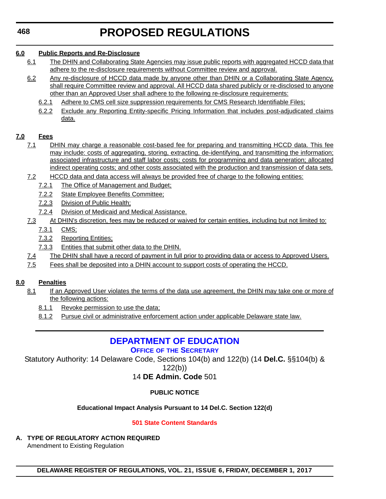<span id="page-15-0"></span>**468**

# **PROPOSED REGULATIONS**

# **6.0 Public Reports and Re-Disclosure**

- 6.1 The DHIN and Collaborating State Agencies may issue public reports with aggregated HCCD data that adhere to the re-disclosure requirements without Committee review and approval.
- 6.2 Any re-disclosure of HCCD data made by anyone other than DHIN or a Collaborating State Agency, shall require Committee review and approval. All HCCD data shared publicly or re-disclosed to anyone other than an Approved User shall adhere to the following re-disclosure requirements:
	- 6.2.1 Adhere to CMS cell size suppression requirements for CMS Research Identifiable Files;
	- 6.2.2 Exclude any Reporting Entity-specific Pricing Information that includes post-adjudicated claims data.

# **7.0 Fees**

- 7.1 DHIN may charge a reasonable cost-based fee for preparing and transmitting HCCD data. This fee may include: costs of aggregating, storing, extracting, de-identifying, and transmitting the information; associated infrastructure and staff labor costs; costs for programming and data generation; allocated indirect operating costs; and other costs associated with the production and transmission of data sets.
- 7.2 HCCD data and data access will always be provided free of charge to the following entities:
	- 7.2.1 The Office of Management and Budget;
	- 7.2.2 State Employee Benefits Committee;
	- 7.2.3 Division of Public Health;
	- 7.2.4 Division of Medicaid and Medical Assistance.
- 7.3 At DHIN's discretion, fees may be reduced or waived for certain entities, including but not limited to:
	- 7.3.1 CMS;
	- 7.3.2 Reporting Entities;
	- 7.3.3 Entities that submit other data to the DHIN.
- 7.4 The DHIN shall have a record of payment in full prior to providing data or access to Approved Users.
- 7.5 Fees shall be deposited into a DHIN account to support costs of operating the HCCD.

# **8.0 Penalties**

- 8.1 If an Approved User violates the terms of the data use agreement, the DHIN may take one or more of the following actions:
	- 8.1.1 Revoke permission to use the data;
	- 8.1.2 Pursue civil or administrative enforcement action under applicable Delaware state law.

# **[DEPARTMENT OF EDUCATION](https://pubapps.doe.k12.de.us/EducationalDirectoryPublic/pages/DDOE/Branches.aspx?page=branches&BID=1)**

**OFFICE OF THE SECRETARY**

Statutory Authority: 14 Delaware Code, Sections 104(b) and 122(b) (14 **Del.C.** §§104(b) &

122(b))

# 14 **DE Admin. Code** 501

# **PUBLIC NOTICE**

# **Educational Impact Analysis Pursuant to 14 Del.C. Section 122(d)**

# **[501 State Content Standards](#page-3-0)**

**A. TYPE OF REGULATORY ACTION REQUIRED**

Amendment to Existing Regulation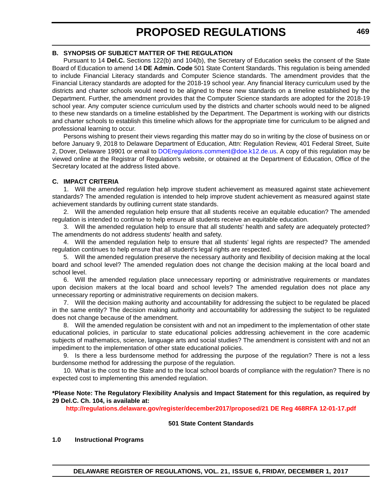### **B. SYNOPSIS OF SUBJECT MATTER OF THE REGULATION**

Pursuant to 14 **Del.C.** Sections 122(b) and 104(b), the Secretary of Education seeks the consent of the State Board of Education to amend 14 **DE Admin. Code** 501 State Content Standards. This regulation is being amended to include Financial Literacy standards and Computer Science standards. The amendment provides that the Financial Literacy standards are adopted for the 2018-19 school year. Any financial literacy curriculum used by the districts and charter schools would need to be aligned to these new standards on a timeline established by the Department. Further, the amendment provides that the Computer Science standards are adopted for the 2018-19 school year. Any computer science curriculum used by the districts and charter schools would need to be aligned to these new standards on a timeline established by the Department. The Department is working with our districts and charter schools to establish this timeline which allows for the appropriate time for curriculum to be aligned and professional learning to occur.

Persons wishing to present their views regarding this matter may do so in writing by the close of business on or before January 9, 2018 to Delaware Department of Education, Attn: Regulation Review, 401 Federal Street, Suite 2, Dover, Delaware 19901 or email to [DOEregulations.comment@doe.k12.de.us](mailto: DOEregulations.comment@doe.k12.de.us). A copy of this regulation may be viewed online at the Registrar of Regulation's website, or obtained at the Department of Education, Office of the Secretary located at the address listed above.

### **C. IMPACT CRITERIA**

1. Will the amended regulation help improve student achievement as measured against state achievement standards? The amended regulation is intended to help improve student achievement as measured against state achievement standards by outlining current state standards.

2. Will the amended regulation help ensure that all students receive an equitable education? The amended regulation is intended to continue to help ensure all students receive an equitable education.

3. Will the amended regulation help to ensure that all students' health and safety are adequately protected? The amendments do not address students' health and safety.

4. Will the amended regulation help to ensure that all students' legal rights are respected? The amended regulation continues to help ensure that all student's legal rights are respected.

5. Will the amended regulation preserve the necessary authority and flexibility of decision making at the local board and school level? The amended regulation does not change the decision making at the local board and school level.

6. Will the amended regulation place unnecessary reporting or administrative requirements or mandates upon decision makers at the local board and school levels? The amended regulation does not place any unnecessary reporting or administrative requirements on decision makers.

7. Will the decision making authority and accountability for addressing the subject to be regulated be placed in the same entity? The decision making authority and accountability for addressing the subject to be regulated does not change because of the amendment.

8. Will the amended regulation be consistent with and not an impediment to the implementation of other state educational policies, in particular to state educational policies addressing achievement in the core academic subjects of mathematics, science, language arts and social studies? The amendment is consistent with and not an impediment to the implementation of other state educational policies.

9. Is there a less burdensome method for addressing the purpose of the regulation? There is not a less burdensome method for addressing the purpose of the regulation.

10. What is the cost to the State and to the local school boards of compliance with the regulation? There is no expected cost to implementing this amended regulation.

### **\*Please Note: The Regulatory Flexibility Analysis and Impact Statement for this regulation, as required by 29 Del.C. Ch. 104, is available at:**

**<http://regulations.delaware.gov/register/december2017/proposed/21 DE Reg 468RFA 12-01-17.pdf>**

#### **501 State Content Standards**

#### **1.0 Instructional Programs**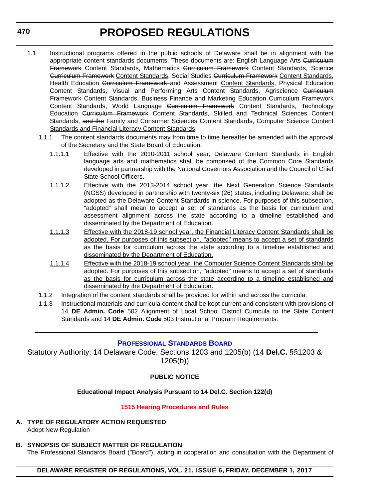- <span id="page-17-0"></span>1.1 Instructional programs offered in the public schools of Delaware shall be in alignment with the appropriate content standards documents. These documents are: English Language Arts Curriculum **Framework Content Standards, Mathematics Curriculum Framework Content Standards, Science** Curriculum Framework Content Standards, Social Studies Curriculum Framework Content Standards, Health Education Curriculum Framework and Assessment Content Standards, Physical Education Content Standards, Visual and Performing Arts Content Standards, Agriscience Curriculum **Framework Content Standards, Business Finance and Marketing Education Curriculum Framework** Content Standards, World Language <del>Curriculum Framework</del> Content Standards, Technology Education Curriculum Framework Content Standards, Skilled and Technical Sciences Content Standards, and the Family and Consumer Sciences Content Standards, Computer Science Content Standards and Financial Literacy Content Standards.
	- 1.1.1 The content standards documents may from time to time hereafter be amended with the approval of the Secretary and the State Board of Education.
		- 1.1.1.1 Effective with the 2010-2011 school year, Delaware Content Standards in English language arts and mathematics shall be comprised of the Common Core Standards developed in partnership with the National Governors Association and the Council of Chief State School Officers.
		- 1.1.1.2 Effective with the 2013-2014 school year, the Next Generation Science Standards (NGSS) developed in partnership with twenty-six (26) states, including Delaware, shall be adopted as the Delaware Content Standards in science. For purposes of this subsection, "adopted" shall mean to accept a set of standards as the basis for curriculum and assessment alignment across the state according to a timeline established and disseminated by the Department of Education.
		- 1.1.1.3 Effective with the 2018-19 school year, the Financial Literacy Content Standards shall be adopted. For purposes of this subsection, "adopted" means to accept a set of standards as the basis for curriculum across the state according to a timeline established and disseminated by the Department of Education.
		- 1.1.1.4 Effective with the 2018-19 school year, the Computer Science Content Standards shall be adopted. For purposes of this subsection, "adopted" means to accept a set of standards as the basis for curriculum across the state according to a timeline established and disseminated by the Department of Education.
	- 1.1.2 Integration of the content standards shall be provided for within and across the curricula.
	- 1.1.3 Instructional materials and curricula content shall be kept current and consistent with provisions of 14 **DE Admin. Code** 502 Alignment of Local School District Curricula to the State Content Standards and 14 **DE Admin. Code** 503 Instructional Program Requirements.

# **[PROFESSIONAL STANDARDS BOARD](https://pubapps.doe.k12.de.us/EducationalDirectoryPublic/pages/DDOE/WorkGroupStaff.aspx?page=branches&WGID=75&BID=1)**

Statutory Authority: 14 Delaware Code, Sections 1203 and 1205(b) (14 **Del.C.** §§1203 & 1205(b))

# **PUBLIC NOTICE**

# **Educational Impact Analysis Pursuant to 14 Del.C. Section 122(d)**

### **[1515 Hearing Procedures and Rules](#page-3-0)**

**A. TYPE OF REGULATORY ACTION REQUESTED**

Adopt New Regulation

**B. SYNOPSIS OF SUBJECT MATTER OF REGULATION**

The Professional Standards Board ("Board"), acting in cooperation and consultation with the Department of

### **DELAWARE REGISTER OF REGULATIONS, VOL. 21, ISSUE 6, FRIDAY, DECEMBER 1, 2017**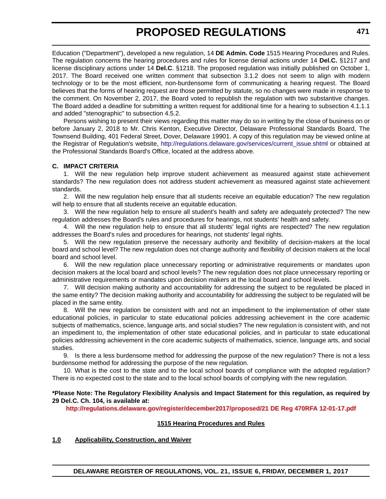Education ("Department"), developed a new regulation, 14 **DE Admin. Code** 1515 Hearing Procedures and Rules. The regulation concerns the hearing procedures and rules for license denial actions under 14 **Del.C.** §1217 and license disciplinary actions under 14 **Del.C**. §1218. The proposed regulation was initially published on October 1, 2017. The Board received one written comment that subsection 3.1.2 does not seem to align with modern technology or to be the most efficient, non-burdensome form of communicating a hearing request. The Board believes that the forms of hearing request are those permitted by statute, so no changes were made in response to the comment. On November 2, 2017, the Board voted to republish the regulation with two substantive changes. The Board added a deadline for submitting a written request for additional time for a hearing to subsection 4.1.1.1 and added "stenographic" to subsection 4.5.2.

Persons wishing to present their views regarding this matter may do so in writing by the close of business on or before January 2, 2018 to Mr. Chris Kenton, Executive Director, Delaware Professional Standards Board, The Townsend Building, 401 Federal Street, Dover, Delaware 19901. A copy of this regulation may be viewed online at the Registrar of Regulation's website, [http://regulations.delaware.gov/services/current\\_issue.shtml](http://regulations.delaware.gov/services/current_issue.shtml) or obtained at the Professional Standards Board's Office, located at the address above.

### **C. IMPACT CRITERIA**

1. Will the new regulation help improve student achievement as measured against state achievement standards? The new regulation does not address student achievement as measured against state achievement standards.

2. Will the new regulation help ensure that all students receive an equitable education? The new regulation will help to ensure that all students receive an equitable education.

3. Will the new regulation help to ensure all student's health and safety are adequately protected? The new regulation addresses the Board's rules and procedures for hearings, not students' health and safety.

4. Will the new regulation help to ensure that all students' legal rights are respected? The new regulation addresses the Board's rules and procedures for hearings, not students' legal rights.

5. Will the new regulation preserve the necessary authority and flexibility of decision-makers at the local board and school level? The new regulation does not change authority and flexibility of decision makers at the local board and school level.

6. Will the new regulation place unnecessary reporting or administrative requirements or mandates upon decision makers at the local board and school levels? The new regulation does not place unnecessary reporting or administrative requirements or mandates upon decision makers at the local board and school levels.

7. Will decision making authority and accountability for addressing the subject to be regulated be placed in the same entity? The decision making authority and accountability for addressing the subject to be regulated will be placed in the same entity.

8. Will the new regulation be consistent with and not an impediment to the implementation of other state educational policies, in particular to state educational policies addressing achievement in the core academic subjects of mathematics, science, language arts, and social studies? The new regulation is consistent with, and not an impediment to, the implementation of other state educational policies, and in particular to state educational policies addressing achievement in the core academic subjects of mathematics, science, language arts, and social studies.

9. Is there a less burdensome method for addressing the purpose of the new regulation? There is not a less burdensome method for addressing the purpose of the new regulation.

10. What is the cost to the state and to the local school boards of compliance with the adopted regulation? There is no expected cost to the state and to the local school boards of complying with the new regulation.

### **\*Please Note: The Regulatory Flexibility Analysis and Impact Statement for this regulation, as required by 29 Del.C. Ch. 104, is available at:**

**<http://regulations.delaware.gov/register/december2017/proposed/21 DE Reg 470RFA 12-01-17.pdf>**

### **1515 Hearing Procedures and Rules**

### **1.0 Applicability, Construction, and Waiver**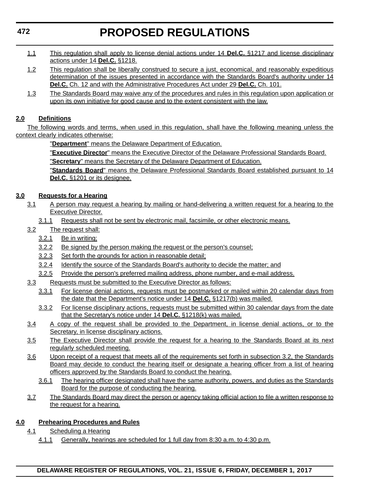# **472**

# **PROPOSED REGULATIONS**

- 1.1 This regulation shall apply to license denial actions under 14 **Del.C.** §1217 and license disciplinary actions under 14 **Del.C.** §1218.
- 1.2 This regulation shall be liberally construed to secure a just, economical, and reasonably expeditious determination of the issues presented in accordance with the Standards Board's authority under 14 **Del.C.** Ch. 12 and with the Administrative Procedures Act under 29 **Del.C.** Ch. 101.
- 1.3 The Standards Board may waive any of the procedures and rules in this regulation upon application or upon its own initiative for good cause and to the extent consistent with the law.

# **2.0 Definitions**

The following words and terms, when used in this regulation, shall have the following meaning unless the context clearly indicates otherwise:

"**Department**" means the Delaware Department of Education.

"**Executive Director**" means the Executive Director of the Delaware Professional Standards Board. "**Secretary**" means the Secretary of the Delaware Department of Education.

"**Standards Board**" means the Delaware Professional Standards Board established pursuant to 14 **Del.C.** §1201 or its designee.

# **3.0 Requests for a Hearing**

- 3.1 A person may request a hearing by mailing or hand-delivering a written request for a hearing to the Executive Director.
	- 3.1.1 Requests shall not be sent by electronic mail, facsimile, or other electronic means.
- 3.2 The request shall:
	- 3.2.1 Be in writing;
	- 3.2.2 Be signed by the person making the request or the person's counsel;
	- 3.2.3 Set forth the grounds for action in reasonable detail;
	- 3.2.4 Identify the source of the Standards Board's authority to decide the matter; and
	- 3.2.5 Provide the person's preferred mailing address, phone number, and e-mail address.
- 3.3 Requests must be submitted to the Executive Director as follows:
	- 3.3.1 For license denial actions, requests must be postmarked or mailed within 20 calendar days from the date that the Department's notice under 14 **Del.C.** §1217(b) was mailed.
	- 3.3.2 For license disciplinary actions, requests must be submitted within 30 calendar days from the date that the Secretary's notice under 14 **Del.C.** §1218(k) was mailed.
- 3.4 A copy of the request shall be provided to the Department, in license denial actions, or to the Secretary, in license disciplinary actions.
- 3.5 The Executive Director shall provide the request for a hearing to the Standards Board at its next regularly scheduled meeting.
- 3.6 Upon receipt of a request that meets all of the requirements set forth in subsection 3.2, the Standards Board may decide to conduct the hearing itself or designate a hearing officer from a list of hearing officers approved by the Standards Board to conduct the hearing.
	- 3.6.1 The hearing officer designated shall have the same authority, powers, and duties as the Standards Board for the purpose of conducting the hearing.
- 3.7 The Standards Board may direct the person or agency taking official action to file a written response to the request for a hearing.

# **4.0 Prehearing Procedures and Rules**

- 4.1 Scheduling a Hearing
	- 4.1.1 Generally, hearings are scheduled for 1 full day from 8:30 a.m. to 4:30 p.m.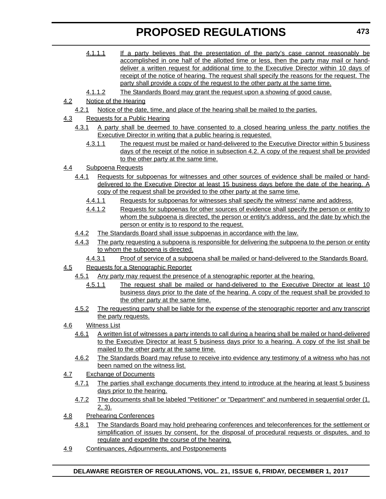- 4.1.1.1 If a party believes that the presentation of the party's case cannot reasonably be accomplished in one half of the allotted time or less, then the party may mail or handdeliver a written request for additional time to the Executive Director within 10 days of receipt of the notice of hearing. The request shall specify the reasons for the request. The party shall provide a copy of the request to the other party at the same time.
- 4.1.1.2 The Standards Board may grant the request upon a showing of good cause.
- 4.2 Notice of the Hearing
	- 4.2.1 Notice of the date, time, and place of the hearing shall be mailed to the parties.
- 4.3 Requests for a Public Hearing
	- 4.3.1 A party shall be deemed to have consented to a closed hearing unless the party notifies the Executive Director in writing that a public hearing is requested.
		- 4.3.1.1 The request must be mailed or hand-delivered to the Executive Director within 5 business days of the receipt of the notice in subsection 4.2. A copy of the request shall be provided to the other party at the same time.
- 4.4 Subpoena Requests
	- 4.4.1 Requests for subpoenas for witnesses and other sources of evidence shall be mailed or handdelivered to the Executive Director at least 15 business days before the date of the hearing. A copy of the request shall be provided to the other party at the same time.
		- 4.4.1.1 Requests for subpoenas for witnesses shall specify the witness' name and address.
		- 4.4.1.2 Requests for subpoenas for other sources of evidence shall specify the person or entity to whom the subpoena is directed, the person or entity's address, and the date by which the person or entity is to respond to the request.
	- 4.4.2 The Standards Board shall issue subpoenas in accordance with the law.
	- 4.4.3 The party requesting a subpoena is responsible for delivering the subpoena to the person or entity to whom the subpoena is directed.
	- 4.4.3.1 Proof of service of a subpoena shall be mailed or hand-delivered to the Standards Board.
- 4.5 Requests for a Stenographic Reporter
	- 4.5.1 Any party may request the presence of a stenographic reporter at the hearing.
		- 4.5.1.1 The request shall be mailed or hand-delivered to the Executive Director at least 10 business days prior to the date of the hearing. A copy of the request shall be provided to the other party at the same time.
	- 4.5.2 The requesting party shall be liable for the expense of the stenographic reporter and any transcript the party requests.

# 4.6 Witness List

- 4.6.1 A written list of witnesses a party intends to call during a hearing shall be mailed or hand-delivered to the Executive Director at least 5 business days prior to a hearing. A copy of the list shall be mailed to the other party at the same time.
- 4.6.2 The Standards Board may refuse to receive into evidence any testimony of a witness who has not been named on the witness list.
- 4.7 Exchange of Documents
	- 4.7.1 The parties shall exchange documents they intend to introduce at the hearing at least 5 business days prior to the hearing.
	- 4.7.2 The documents shall be labeled "Petitioner" or "Department" and numbered in sequential order (1, 2, 3).
- 4.8 Prehearing Conferences
	- 4.8.1 The Standards Board may hold prehearing conferences and teleconferences for the settlement or simplification of issues by consent, for the disposal of procedural requests or disputes, and to regulate and expedite the course of the hearing.
- 4.9 Continuances, Adjournments, and Postponements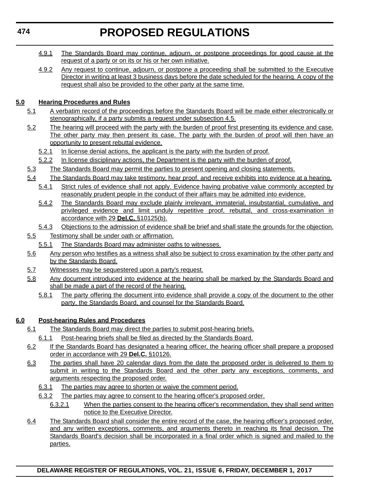- 4.9.1 The Standards Board may continue, adjourn, or postpone proceedings for good cause at the request of a party or on its or his or her own initiative.
- 4.9.2 Any request to continue, adjourn, or postpone a proceeding shall be submitted to the Executive Director in writing at least 3 business days before the date scheduled for the hearing. A copy of the request shall also be provided to the other party at the same time.

# **5.0 Hearing Procedures and Rules**

- 5.1 A verbatim record of the proceedings before the Standards Board will be made either electronically or stenographically, if a party submits a request under subsection 4.5.
- 5.2 The hearing will proceed with the party with the burden of proof first presenting its evidence and case. The other party may then present its case. The party with the burden of proof will then have an opportunity to present rebuttal evidence.
	- 5.2.1 In license denial actions, the applicant is the party with the burden of proof.
	- 5.2.2 In license disciplinary actions, the Department is the party with the burden of proof.
- 5.3 The Standards Board may permit the parties to present opening and closing statements.
- 5.4 The Standards Board may take testimony, hear proof, and receive exhibits into evidence at a hearing.
	- 5.4.1 Strict rules of evidence shall not apply. Evidence having probative value commonly accepted by reasonably prudent people in the conduct of their affairs may be admitted into evidence.
	- 5.4.2 The Standards Board may exclude plainly irrelevant, immaterial, insubstantial, cumulative, and privileged evidence and limit unduly repetitive proof, rebuttal, and cross-examination in accordance with 29 **Del.C.** §10125(b).
	- 5.4.3 Objections to the admission of evidence shall be brief and shall state the grounds for the objection.
- 5.5 Testimony shall be under oath or affirmation.
	- 5.5.1 The Standards Board may administer oaths to witnesses.
- 5.6 Any person who testifies as a witness shall also be subject to cross examination by the other party and by the Standards Board.
- 5.7 Witnesses may be sequestered upon a party's request.
- 5.8 Any document introduced into evidence at the hearing shall be marked by the Standards Board and shall be made a part of the record of the hearing.
	- 5.8.1 The party offering the document into evidence shall provide a copy of the document to the other party, the Standards Board, and counsel for the Standards Board.

# **6.0 Post-hearing Rules and Procedures**

- 6.1 The Standards Board may direct the parties to submit post-hearing briefs.
	- 6.1.1 Post-hearing briefs shall be filed as directed by the Standards Board.
- 6.2 If the Standards Board has designated a hearing officer, the hearing officer shall prepare a proposed order in accordance with 29 **Del.C.** §10126.
- 6.3 The parties shall have 20 calendar days from the date the proposed order is delivered to them to submit in writing to the Standards Board and the other party any exceptions, comments, and arguments respecting the proposed order.
	- 6.3.1 The parties may agree to shorten or waive the comment period.
	- 6.3.2 The parties may agree to consent to the hearing officer's proposed order.
		- 6.3.2.1 When the parties consent to the hearing officer's recommendation, they shall send written notice to the Executive Director.
- 6.4 The Standards Board shall consider the entire record of the case, the hearing officer's proposed order, and any written exceptions, comments, and arguments thereto in reaching its final decision. The Standards Board's decision shall be incorporated in a final order which is signed and mailed to the parties.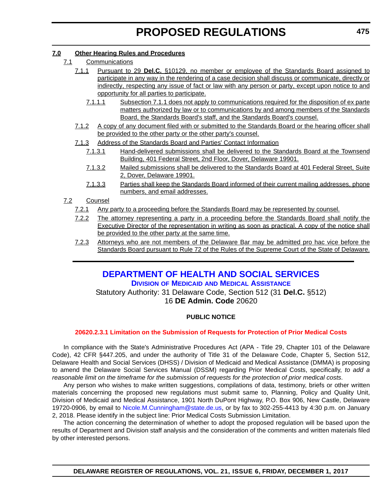# <span id="page-22-0"></span>**7.0 Other Hearing Rules and Procedures**

- 7.1 Communications
	- 7.1.1 Pursuant to 29 **Del.C.** §10129, no member or employee of the Standards Board assigned to participate in any way in the rendering of a case decision shall discuss or communicate, directly or indirectly, respecting any issue of fact or law with any person or party, except upon notice to and opportunity for all parties to participate.
		- 7.1.1.1 Subsection 7.1.1 does not apply to communications required for the disposition of ex parte matters authorized by law or to communications by and among members of the Standards Board, the Standards Board's staff, and the Standards Board's counsel.
	- 7.1.2 A copy of any document filed with or submitted to the Standards Board or the hearing officer shall be provided to the other party or the other party's counsel.
	- 7.1.3 Address of the Standards Board and Parties' Contact Information
		- 7.1.3.1 Hand-delivered submissions shall be delivered to the Standards Board at the Townsend Building, 401 Federal Street, 2nd Floor, Dover, Delaware 19901.
		- 7.1.3.2 Mailed submissions shall be delivered to the Standards Board at 401 Federal Street, Suite 2, Dover, Delaware 19901.
		- 7.1.3.3 Parties shall keep the Standards Board informed of their current mailing addresses, phone numbers, and email addresses.

# 7.2 Counsel

- 7.2.1 Any party to a proceeding before the Standards Board may be represented by counsel.
- 7.2.2 The attorney representing a party in a proceeding before the Standards Board shall notify the Executive Director of the representation in writing as soon as practical. A copy of the notice shall be provided to the other party at the same time.
- 7.2.3 Attorneys who are not members of the Delaware Bar may be admitted pro hac vice before the Standards Board pursuant to Rule 72 of the Rules of the Supreme Court of the State of Delaware.

# **[DEPARTMENT OF HEALTH AND SOCIAL SERVICES](http://www.dhss.delaware.gov/dhss/dmma/) DIVISION OF MEDICAID AND MEDICAL ASSISTANCE**

Statutory Authority: 31 Delaware Code, Section 512 (31 **Del.C.** §512) 16 **DE Admin. Code** 20620

# **PUBLIC NOTICE**

### **[20620.2.3.1 Limitation on the Submission of Requests for Protection of Prior Medical Costs](#page-3-0)**

In compliance with the State's Administrative Procedures Act (APA - Title 29, Chapter 101 of the Delaware Code), 42 CFR §447.205, and under the authority of Title 31 of the Delaware Code, Chapter 5, Section 512, Delaware Health and Social Services (DHSS) / Division of Medicaid and Medical Assistance (DMMA) is proposing to amend the Delaware Social Services Manual (DSSM) regarding Prior Medical Costs, specifically, *to add a reasonable limit on the timeframe for the submission of requests for the protection of prior medical costs*.

Any person who wishes to make written suggestions, compilations of data, testimony, briefs or other written materials concerning the proposed new regulations must submit same to, Planning, Policy and Quality Unit, Division of Medicaid and Medical Assistance, 1901 North DuPont Highway, P.O. Box 906, New Castle, Delaware 19720-0906, by email to [Nicole.M.Cunningham@state.de.us,](mailto:Nicole.M.Cunningham@state.de.us) or by fax to 302-255-4413 by 4:30 p.m. on January 2, 2018. Please identify in the subject line: Prior Medical Costs Submission Limitation.

The action concerning the determination of whether to adopt the proposed regulation will be based upon the results of Department and Division staff analysis and the consideration of the comments and written materials filed by other interested persons.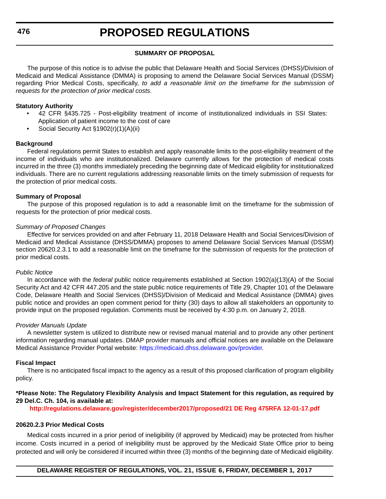### **SUMMARY OF PROPOSAL**

The purpose of this notice is to advise the public that Delaware Health and Social Services (DHSS)/Division of Medicaid and Medical Assistance (DMMA) is proposing to amend the Delaware Social Services Manual (DSSM) regarding Prior Medical Costs, specifically, *to add a reasonable limit on the timeframe for the submission of requests for the protection of prior medical costs.*

#### **Statutory Authority**

- 42 CFR §435.725 Post-eligibility treatment of income of institutionalized individuals in SSI States: Application of patient income to the cost of care
- Social Security Act §1902(r)(1)(A)(ii)

#### **Background**

Federal regulations permit States to establish and apply reasonable limits to the post-eligibility treatment of the income of individuals who are institutionalized. Delaware currently allows for the protection of medical costs incurred in the three (3) months immediately preceding the beginning date of Medicaid eligibility for institutionalized individuals. There are no current regulations addressing reasonable limits on the timely submission of requests for the protection of prior medical costs.

### **Summary of Proposal**

The purpose of this proposed regulation is to add a reasonable limit on the timeframe for the submission of requests for the protection of prior medical costs.

### *Summary of Proposed Changes*

Effective for services provided on and after February 11, 2018 Delaware Health and Social Services/Division of Medicaid and Medical Assistance (DHSS/DMMA) proposes to amend Delaware Social Services Manual (DSSM) section 20620.2.3.1 to add a reasonable limit on the timeframe for the submission of requests for the protection of prior medical costs.

#### *Public Notice*

In accordance with the *federal* public notice requirements established at Section 1902(a)(13)(A) of the Social Security Act and 42 CFR 447.205 and the state public notice requirements of Title 29, Chapter 101 of the Delaware Code, Delaware Health and Social Services (DHSS)/Division of Medicaid and Medical Assistance (DMMA) gives public notice and provides an open comment period for thirty (30) days to allow all stakeholders an opportunity to provide input on the proposed regulation. Comments must be received by 4:30 p.m. on January 2, 2018.

#### *Provider Manuals Update*

A newsletter system is utilized to distribute new or revised manual material and to provide any other pertinent information regarding manual updates. DMAP provider manuals and official notices are available on the Delaware Medical Assistance Provider Portal website: [https://medicaid.dhss.delaware.gov/provider.](https://medicaid.dhss.delaware.gov/provider)

#### **Fiscal Impact**

There is no anticipated fiscal impact to the agency as a result of this proposed clarification of program eligibility policy.

### **\*Please Note: The Regulatory Flexibility Analysis and Impact Statement for this regulation, as required by 29 Del.C. Ch. 104, is available at:**

**<http://regulations.delaware.gov/register/december2017/proposed/21 DE Reg 475RFA 12-01-17.pdf>**

### **20620.2.3 Prior Medical Costs**

Medical costs incurred in a prior period of ineligibility (if approved by Medicaid) may be protected from his/her income. Costs incurred in a period of ineligibility must be approved by the Medicaid State Office prior to being protected and will only be considered if incurred within three (3) months of the beginning date of Medicaid eligibility.

**DELAWARE REGISTER OF REGULATIONS, VOL. 21, ISSUE 6, FRIDAY, DECEMBER 1, 2017**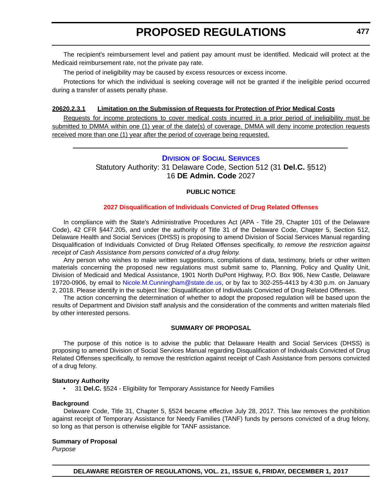<span id="page-24-0"></span>The recipient's reimbursement level and patient pay amount must be identified. Medicaid will protect at the Medicaid reimbursement rate, not the private pay rate.

The period of ineligibility may be caused by excess resources or excess income.

Protections for which the individual is seeking coverage will not be granted if the ineligible period occurred during a transfer of assets penalty phase.

### **20620.2.3.1 Limitation on the Submission of Requests for Protection of Prior Medical Costs**

Requests for income protections to cover medical costs incurred in a prior period of ineligibility must be submitted to DMMA within one (1) year of the date(s) of coverage. DMMA will deny income protection requests received more than one (1) year after the period of coverage being requested.

# **DIVISION [OF SOCIAL SERVICES](http://www.dhss.delaware.gov/dhss/dss/)**

Statutory Authority: 31 Delaware Code, Section 512 (31 **Del.C.** §512) 16 **DE Admin. Code** 2027

# **PUBLIC NOTICE**

# **[2027 Disqualification of Individuals Convicted of Drug Related Offenses](#page-3-0)**

In compliance with the State's Administrative Procedures Act (APA - Title 29, Chapter 101 of the Delaware Code), 42 CFR §447.205, and under the authority of Title 31 of the Delaware Code, Chapter 5, Section 512, Delaware Health and Social Services (DHSS) is proposing to amend Division of Social Services Manual regarding Disqualification of Individuals Convicted of Drug Related Offenses specifically, *to remove the restriction against receipt of Cash Assistance from persons convicted of a drug felony.*

Any person who wishes to make written suggestions, compilations of data, testimony, briefs or other written materials concerning the proposed new regulations must submit same to, Planning, Policy and Quality Unit, Division of Medicaid and Medical Assistance, 1901 North DuPont Highway, P.O. Box 906, New Castle, Delaware 19720-0906, by email to [Nicole.M.Cunningham@state.de.us,](mailto:Nicole.M.Cunningham@state.de.us) or by fax to 302-255-4413 by 4:30 p.m. on January 2, 2018. Please identify in the subject line: Disqualification of Individuals Convicted of Drug Related Offenses.

The action concerning the determination of whether to adopt the proposed regulation will be based upon the results of Department and Division staff analysis and the consideration of the comments and written materials filed by other interested persons.

### **SUMMARY OF PROPOSAL**

The purpose of this notice is to advise the public that Delaware Health and Social Services (DHSS) is proposing to amend Division of Social Services Manual regarding Disqualification of Individuals Convicted of Drug Related Offenses specifically, to remove the restriction against receipt of Cash Assistance from persons convicted of a drug felony.

### **Statutory Authority**

• 31 **Del.C.** §524 - Eligibility for Temporary Assistance for Needy Families

#### **Background**

Delaware Code, Title 31, Chapter 5, §524 became effective July 28, 2017. This law removes the prohibition against receipt of Temporary Assistance for Needy Families (TANF) funds by persons convicted of a drug felony, so long as that person is otherwise eligible for TANF assistance.

### **Summary of Proposal**

*Purpose*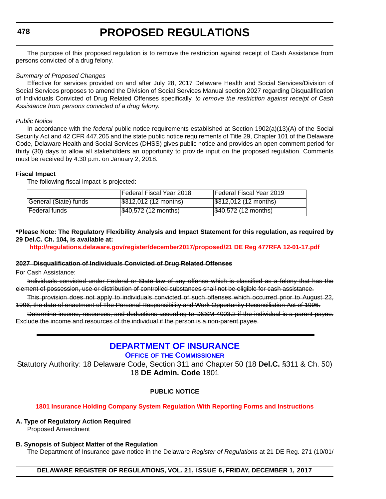### <span id="page-25-0"></span>**478**

# **PROPOSED REGULATIONS**

The purpose of this proposed regulation is to remove the restriction against receipt of Cash Assistance from persons convicted of a drug felony.

#### *Summary of Proposed Changes*

Effective for services provided on and after July 28, 2017 Delaware Health and Social Services/Division of Social Services proposes to amend the Division of Social Services Manual section 2027 regarding Disqualification of Individuals Convicted of Drug Related Offenses specifically, *to remove the restriction against receipt of Cash Assistance from persons convicted of a drug felony.*

### *Public Notice*

In accordance with the *federal* public notice requirements established at Section 1902(a)(13)(A) of the Social Security Act and 42 CFR 447.205 and the state public notice requirements of Title 29, Chapter 101 of the Delaware Code, Delaware Health and Social Services (DHSS) gives public notice and provides an open comment period for thirty (30) days to allow all stakeholders an opportunity to provide input on the proposed regulation. Comments must be received by 4:30 p.m. on January 2, 2018.

### **Fiscal Impact**

The following fiscal impact is projected:

|                       | IFederal Fiscal Year 2018   | <b>IFederal Fiscal Year 2019</b> |
|-----------------------|-----------------------------|----------------------------------|
| General (State) funds | \$312,012(12 months)        | $ $312,012$ (12 months)          |
| l Federal funds       | $\sqrt{40,572}$ (12 months) | $ $40,572$ (12 months)           |

**\*Please Note: The Regulatory Flexibility Analysis and Impact Statement for this regulation, as required by 29 Del.C. Ch. 104, is available at:**

**<http://regulations.delaware.gov/register/december2017/proposed/21 DE Reg 477RFA 12-01-17.pdf>**

#### **2027 Disqualification of Individuals Convicted of Drug Related Offenses**

For Cash Assistance:

Individuals convicted under Federal or State law of any offense which is classified as a felony that has the element of possession, use or distribution of controlled substances shall not be eligible for cash assistance.

This provision does not apply to individuals convicted of such offenses which occurred prior to August 22, 1996, the date of enactment of The Personal Responsibility and Work Opportunity Reconciliation Act of 1996.

Determine income, resources, and deductions according to DSSM 4003.2 if the individual is a parent payee. Exclude the income and resources of the individual if the person is a non-parent payee.

# **[DEPARTMENT OF INSURANCE](https://insurance.delaware.gov/) OFFICE OF THE COMMISSIONER**

Statutory Authority: 18 Delaware Code, Section 311 and Chapter 50 (18 **Del.C.** §311 & Ch. 50) 18 **DE Admin. Code** 1801

# **PUBLIC NOTICE**

### **[1801 Insurance Holding Company System Regulation With Reporting Forms and Instructions](#page-3-0)**

### **A. Type of Regulatory Action Required**

Proposed Amendment

### **B. Synopsis of Subject Matter of the Regulation**

The Department of Insurance gave notice in the Delaware *Register of Regulations* at 21 DE Reg. 271 (10/01/

**DELAWARE REGISTER OF REGULATIONS, VOL. 21, ISSUE 6, FRIDAY, DECEMBER 1, 2017**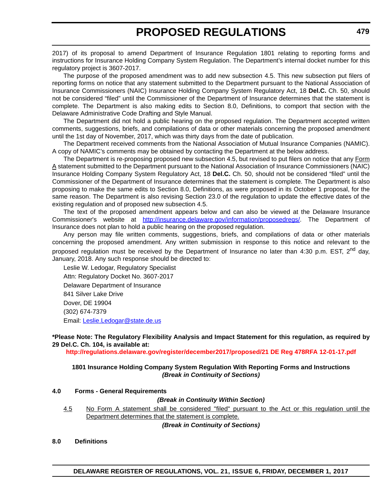2017) of its proposal to amend Department of Insurance Regulation 1801 relating to reporting forms and instructions for Insurance Holding Company System Regulation. The Department's internal docket number for this regulatory project is 3607-2017.

The purpose of the proposed amendment was to add new subsection 4.5. This new subsection put filers of reporting forms on notice that any statement submitted to the Department pursuant to the National Association of Insurance Commissioners (NAIC) Insurance Holding Company System Regulatory Act, 18 **Del.C.** Ch. 50, should not be considered "filed" until the Commissioner of the Department of Insurance determines that the statement is complete. The Department is also making edits to Section 8.0, Definitions, to comport that section with the Delaware Administrative Code Drafting and Style Manual.

The Department did not hold a public hearing on the proposed regulation. The Department accepted written comments, suggestions, briefs, and compilations of data or other materials concerning the proposed amendment until the 1st day of November, 2017, which was thirty days from the date of publication.

The Department received comments from the National Association of Mutual Insurance Companies (NAMIC). A copy of NAMIC's comments may be obtained by contacting the Department at the below address.

The Department is re-proposing proposed new subsection 4.5, but revised to put filers on notice that any Form A statement submitted to the Department pursuant to the National Association of Insurance Commissioners (NAIC) Insurance Holding Company System Regulatory Act, 18 **Del.C.** Ch. 50, should not be considered "filed" until the Commissioner of the Department of Insurance determines that the statement is complete. The Department is also proposing to make the same edits to Section 8.0, Definitions, as were proposed in its October 1 proposal, for the same reason. The Department is also revising Section 23.0 of the regulation to update the effective dates of the existing regulation and of proposed new subsection 4.5.

The text of the proposed amendment appears below and can also be viewed at the Delaware Insurance Commissioner's website at [http://insurance.delaware.gov/information/proposedregs/.](http://insurance.delaware.gov/information/proposedregs/) The Department of Insurance does not plan to hold a public hearing on the proposed regulation.

Any person may file written comments, suggestions, briefs, and compilations of data or other materials concerning the proposed amendment. Any written submission in response to this notice and relevant to the proposed regulation must be received by the Department of Insurance no later than 4:30 p.m. EST. 2<sup>nd</sup> day. January, 2018. Any such response should be directed to:

Leslie W. Ledogar, Regulatory Specialist Attn: Regulatory Docket No. 3607-2017 Delaware Department of Insurance 841 Silver Lake Drive Dover, DE 19904 (302) 674-7379 Email: [Leslie.Ledogar@state.de.us](mailto:Leslie.Ledogar@state.de.us)

**\*Please Note: The Regulatory Flexibility Analysis and Impact Statement for this regulation, as required by 29 Del.C. Ch. 104, is available at:**

**<http://regulations.delaware.gov/register/december2017/proposed/21 DE Reg 478RFA 12-01-17.pdf>**

### **1801 Insurance Holding Company System Regulation With Reporting Forms and Instructions** *(Break in Continuity of Sections)*

#### **4.0 Forms - General Requirements**

### *(Break in Continuity Within Section)*

4.5 No Form A statement shall be considered "filed" pursuant to the Act or this regulation until the Department determines that the statement is complete.

*(Break in Continuity of Sections)*

**8.0 Definitions**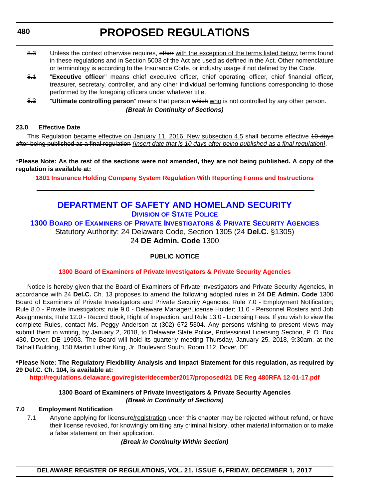- <span id="page-27-0"></span>8.3 Unless the context otherwise requires, other with the exception of the terms listed below, terms found in these regulations and in Section 5003 of the Act are used as defined in the Act. Other nomenclature or terminology is according to the Insurance Code, or industry usage if not defined by the Code.
- 8.1 "**Executive officer**" means chief executive officer, chief operating officer, chief financial officer, treasurer, secretary, controller, and any other individual performing functions corresponding to those performed by the foregoing officers under whatever title.
- 8.2 **"Ultimate controlling person**" means that person which who is not controlled by any other person.

# *(Break in Continuity of Sections)*

# **23.0 Effective Date**

This Regulation became effective on January 11, 2016. New subsection 4.5 shall become effective 40 days after being published as a final regulation *{insert date that is 10 days after being published as a final regulation}*.

**\*Please Note: As the rest of the sections were not amended, they are not being published. A copy of the regulation is available at:**

**[1801 Insurance Holding Company System Regulation With Reporting Forms and Instructions](http://regulations.delaware.gov/register/december2017/proposed/21 DE Reg 478 12-01-17.htm)** 

# **[DEPARTMENT OF SAFETY AND HOMELAND SECURITY](http://dsp.delaware.gov/)**

**DIVISION OF STATE POLICE**

**1300 BOARD OF EXAMINERS OF PRIVATE INVESTIGATORS & PRIVATE SECURITY AGENCIES** Statutory Authority: 24 Delaware Code, Section 1305 (24 **Del.C.** §1305) 24 **DE Admin. Code** 1300

# **PUBLIC NOTICE**

# **[1300 Board of Examiners of Private Investigators & Private Security Agencies](#page-3-0)**

Notice is hereby given that the Board of Examiners of Private Investigators and Private Security Agencies, in accordance with 24 **Del.C.** Ch. 13 proposes to amend the following adopted rules in 24 **DE Admin. Code** 1300 Board of Examiners of Private Investigators and Private Security Agencies: Rule 7.0 - Employment Notification; Rule 8.0 - Private Investigators; rule 9.0 - Delaware Manager/License Holder; 11.0 - Personnel Rosters and Job Assignments; Rule 12.0 - Record Book; Right of Inspection; and Rule 13.0 - Licensing Fees. If you wish to view the complete Rules, contact Ms. Peggy Anderson at (302) 672-5304. Any persons wishing to present views may submit them in writing, by January 2, 2018, to Delaware State Police, Professional Licensing Section, P. O. Box 430, Dover, DE 19903. The Board will hold its quarterly meeting Thursday, January 25, 2018, 9:30am, at the Tatnall Building, 150 Martin Luther King, Jr. Boulevard South, Room 112, Dover, DE.

**\*Please Note: The Regulatory Flexibility Analysis and Impact Statement for this regulation, as required by 29 Del.C. Ch. 104, is available at:**

**<http://regulations.delaware.gov/register/december2017/proposed/21 DE Reg 480RFA 12-01-17.pdf>**

# **1300 Board of Examiners of Private Investigators & Private Security Agencies** *(Break in Continuity of Sections)*

# **7.0 Employment Notification**

7.1 Anyone applying for licensure/registration under this chapter may be rejected without refund, or have their license revoked, for knowingly omitting any criminal history, other material information or to make a false statement on their application.

*(Break in Continuity Within Section)*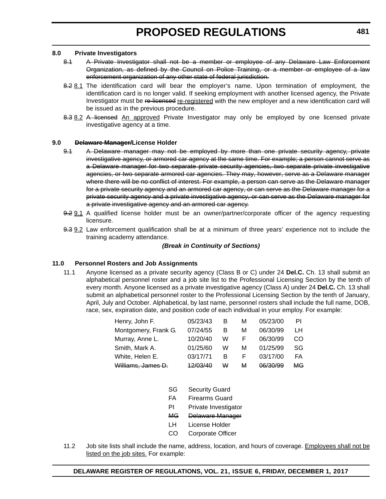### **8.0 Private Investigators**

- 8.1 A Private Investigator shall not be a member or employee of any Delaware Law Enforcement Organization, as defined by the Council on Police Training, or a member or employee of a law enforcement organization of any other state of federal jurisdiction.
- 8.2 8.1 The identification card will bear the employer's name. Upon termination of employment, the identification card is no longer valid. If seeking employment with another licensed agency, the Private Investigator must be re-licensed re-registered with the new employer and a new identification card will be issued as in the previous procedure.
- 8.3 8.2 A licensed An approved Private Investigator may only be employed by one licensed private investigative agency at a time.

### **9.0 Delaware Manager/License Holder**

- 9.1 A Delaware manager may not be employed by more than one private security agency, private investigative agency, or armored car agency at the same time. For example; a person cannot serve as a Delaware manager for two separate private security agencies, two separate private investigative agencies, or two separate armored car agencies. They may, however, serve as a Delaware manager where there will be no conflict of interest. For example, a person can serve as the Delaware manager for a private security agency and an armored car agency, or can serve as the Delaware manager for a private security agency and a private investigative agency, or can serve as the Delaware manager for a private investigative agency and an armored car agency.
- 9.2 9.1 A qualified license holder must be an owner/partner/corporate officer of the agency requesting licensure.
- 9.3 9.2 Law enforcement qualification shall be at a minimum of three years' experience not to include the training academy attendance.

### *(Break in Continuity of Sections)*

### **11.0 Personnel Rosters and Job Assignments**

11.1 Anyone licensed as a private security agency (Class B or C) under 24 **Del.C.** Ch. 13 shall submit an alphabetical personnel roster and a job site list to the Professional Licensing Section by the tenth of every month. Anyone licensed as a private investigative agency (Class A) under 24 **Del.C.** Ch. 13 shall submit an alphabetical personnel roster to the Professional Licensing Section by the tenth of January, April, July and October. Alphabetical, by last name, personnel rosters shall include the full name, DOB, race, sex, expiration date, and position code of each individual in your employ. For example:

| Henry, John F.       | 05/23/43 | B | м | 05/23/00 | ΡI        |
|----------------------|----------|---|---|----------|-----------|
| Montgomery, Frank G. | 07/24/55 | в | м | 06/30/99 | ıн        |
| Murray, Anne L.      | 10/20/40 | W | F | 06/30/99 | CO        |
| Smith, Mark A.       | 01/25/60 | W | м | 01/25/99 | SG        |
| White, Helen E.      | 03/17/71 | в | F | 03/17/00 | FA        |
| Williams, James D.   | 12/03/40 | W | м | 06/30/99 | <b>MG</b> |

- SG Security Guard
- FA Firearms Guard
- PI Private Investigator
- MG Delaware Manager
- LH License Holder
- CO Corporate Officer
- 11.2 Job site lists shall include the name, address, location, and hours of coverage. Employees shall not be listed on the job sites. For example: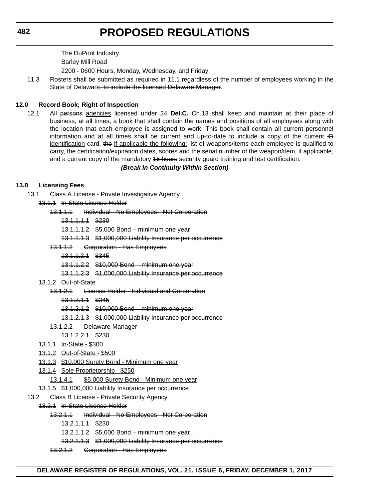The DuPont Industry Barley Mill Road 2200 - 0600 Hours, Monday, Wednesday, and Friday

11.3 Rosters shall be submitted as required in 11.1 regardless of the number of employees working in the State of Delaware, to include the licensed Delaware Manager.

# **12.0 Record Book; Right of Inspection**

12.1 All persons agencies licensed under 24 **Del.C.** Ch.13 shall keep and maintain at their place of business, at all times, a book that shall contain the names and positions of all employees along with the location that each employee is assigned to work. This book shall contain all current personnel information and at all times shall be current and up-to-date to include a copy of the current  $\mathbf{H}$ identification card, the if applicable the following: list of weapons/items each employee is qualified to carry, the certification/expiration dates, scores and the serial number of the weapon/item, if applicable, and a current copy of the mandatory 46 hours security guard training and test certification.

### *(Break in Continuity Within Section)*

# **13.0 Licensing Fees**

- 13.1 Class A License Private Investigative Agency
	- 13.1.1 In-State License Holder
		- 13.1.1.1 Individual No Employees Not Corporation

13.1.1.1.1 \$230

- 13.1.1.1.2 \$5,000 Bond minimum one year
- 13.1.1.1.3 \$1,000,000 Liability Insurance per occurrence
- 13.1.1.2 Corporation Has Employees
	- 13.1.1.2.1 \$345
	- 13.1.1.2.2 \$10,000 Bond minimum one year
	- 13.1.1.2.3 \$1,000,000 Liability Insurance per occurrence

# 13.1.2 Out-of-State

- 13.1.2.1 License Holder Individual and Corporation
	- 13.1.2.1.1 \$345
	- 13.1.2.1.2 \$10,000 Bond minimum one year
	- 13.1.2.1.3 \$1,000,000 Liability Insurance per occurrence
- 13.1.2.2 Delaware Manager
	- 13.1.2.2.1 \$230
- 13.1.1 In-State \$300
- 13.1.2 Out-of-State \$500
- 13.1.3 \$10,000 Surety Bond Minimum one year
- 13.1.4 Sole Proprietorship \$250
	- 13.1.4.1 \$5,000 Surety Bond Minimum one year
- 13.1.5 \$1,000,000 Liability Insurance per occurrence
- 13.2 Class B License Private Security Agency
	- 13.2.1 In-State License Holder
		- 13.2.1.1 Individual No Employees Not Corporation
			- 13.2.1.1.1 \$230
			- 13.2.1.1.2 \$5,000 Bond minimum one year
			- 13.2.1.1.3 \$1,000,000 Liability Insurance per occurrence
		- 13.2.1.2 Corporation Has Employees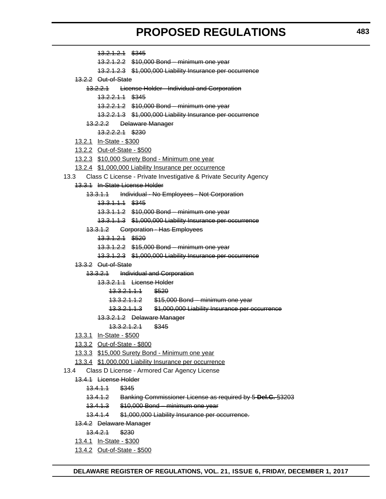|                                                                        | 13.2.1.2.1 \$345                               |                                                                     |  |  |
|------------------------------------------------------------------------|------------------------------------------------|---------------------------------------------------------------------|--|--|
|                                                                        |                                                | 13.2.1.2.2 \$10,000 Bond - minimum one year                         |  |  |
|                                                                        |                                                | 13.2.1.2.3 \$1,000,000 Liability Insurance per occurrence           |  |  |
|                                                                        | 13.2.2 Out-of-State                            |                                                                     |  |  |
|                                                                        |                                                | 13.2.2.1 License Holder - Individual and Corporation                |  |  |
|                                                                        | <del>13.2.2.1.1</del> \$345                    |                                                                     |  |  |
|                                                                        |                                                | 13.2.2.1.2 \$10,000 Bond - minimum one year                         |  |  |
|                                                                        |                                                | 13.2.2.1.3 \$1,000,000 Liability Insurance per occurrence           |  |  |
|                                                                        |                                                | 13.2.2.2 Delaware Manager                                           |  |  |
|                                                                        | 43.2.2.2.1 \$230                               |                                                                     |  |  |
|                                                                        | 13.2.1 In-State - \$300                        |                                                                     |  |  |
|                                                                        | <u>13.2.2 Out-of-State - \$500</u>             |                                                                     |  |  |
|                                                                        | 13.2.3 \$10,000 Surety Bond - Minimum one year |                                                                     |  |  |
|                                                                        |                                                | 13.2.4 \$1,000,000 Liability Insurance per occurrence               |  |  |
| 13.3 Class C License - Private Investigative & Private Security Agency |                                                |                                                                     |  |  |
| 13.3.1 In-State License Holder                                         |                                                |                                                                     |  |  |
|                                                                        |                                                | 13.3.1.1 Individual - No Employees - Not Corporation                |  |  |
|                                                                        | <del>13.3.1.1.1</del> \$345                    |                                                                     |  |  |
|                                                                        |                                                | 13.3.1.1.2 \$10,000 Bond - minimum one year                         |  |  |
|                                                                        |                                                | 13.3.1.1.3 \$1,000,000 Liability Insurance per occurrence           |  |  |
|                                                                        |                                                | 13.3.1.2 Corporation - Has Employees                                |  |  |
|                                                                        | <del>13.3.1.2.1</del> \$520                    |                                                                     |  |  |
|                                                                        |                                                | 13.3.1.2.2 \$15,000 Bond - minimum one year                         |  |  |
|                                                                        |                                                | 13.3.1.2.3 \$1,000,000 Liability Insurance per occurrence           |  |  |
|                                                                        | 13.3.2 Out-of-State                            |                                                                     |  |  |
|                                                                        |                                                | 13.3.2.1 Individual and Corporation                                 |  |  |
|                                                                        |                                                | 13.3.2.1.1 License Holder                                           |  |  |
|                                                                        |                                                | <del>13.3.2.1.1.1</del> \$520                                       |  |  |
|                                                                        |                                                | 13.3.2.1.1.2 \$15,000 Bond - minimum one year                       |  |  |
|                                                                        |                                                | 13.3.2.1.1.3 \$1,000,000 Liability Insurance per occurrence         |  |  |
|                                                                        |                                                | 13.3.2.1.2 Delaware Manager                                         |  |  |
|                                                                        |                                                | <del>13.3.2.1.2.1</del><br>\$345                                    |  |  |
|                                                                        | 13.3.1 In-State - \$500                        |                                                                     |  |  |
|                                                                        | 13.3.2 Out-of-State - \$800                    |                                                                     |  |  |
|                                                                        | 13.3.3 \$15,000 Surety Bond - Minimum one year |                                                                     |  |  |
| 13.3.4 \$1,000,000 Liability Insurance per occurrence                  |                                                |                                                                     |  |  |
| Class D License - Armored Car Agency License<br>13.4                   |                                                |                                                                     |  |  |
| 13.4.1 License Holder                                                  |                                                |                                                                     |  |  |
| 43.4.1.1 \$345                                                         |                                                |                                                                     |  |  |
|                                                                        |                                                | 12.1.1.2 Popling Commissioner Lisones as required by E. Del C. 8220 |  |  |

- 13.4.1.2 Banking Commissioner License as required by 5 **Del.C.** §3203
- 13.4.1.3 \$10,000 Bond minimum one year
- 13.4.1.4 \$1,000,000 Liability Insurance per occurrence.
- 13.4.2 Delaware Manager

13.4.2.1 \$230

- 13.4.1 In-State \$300
- 13.4.2 Out-of-State \$500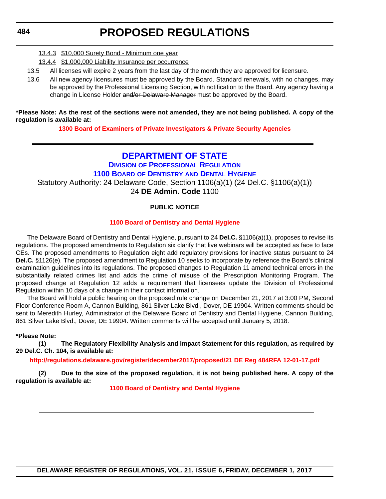- <span id="page-31-0"></span>13.4.3 \$10,000 Surety Bond - Minimum one year
- 13.4.4 \$1,000,000 Liability Insurance per occurrence
- 13.5 All licenses will expire 2 years from the last day of the month they are approved for licensure.
- 13.6 All new agency licensures must be approved by the Board. Standard renewals, with no changes, may be approved by the Professional Licensing Section, with notification to the Board. Any agency having a change in License Holder and/or Delaware Manager must be approved by the Board.

**\*Please Note: As the rest of the sections were not amended, they are not being published. A copy of the regulation is available at:**

**[1300 Board of Examiners of Private Investigators & Private Security Agencies](http://regulations.delaware.gov/register/december2017/proposed/21 DE Reg 480 12-01-17.htm)** 

# **[DEPARTMENT OF STATE](https://dpr.delaware.gov/boards/dental/)**

**DIVISION OF PROFESSIONAL REGULATION 1100 BOARD OF DENTISTRY AND DENTAL HYGIENE** Statutory Authority: 24 Delaware Code, Section 1106(a)(1) (24 Del.C. §1106(a)(1))

24 **DE Admin. Code** 1100

### **PUBLIC NOTICE**

### **[1100 Board of Dentistry and Dental Hygiene](#page-3-0)**

The Delaware Board of Dentistry and Dental Hygiene, pursuant to 24 **Del.C.** §1106(a)(1), proposes to revise its regulations. The proposed amendments to Regulation six clarify that live webinars will be accepted as face to face CEs. The proposed amendments to Regulation eight add regulatory provisions for inactive status pursuant to 24 **Del.C.** §1126(e). The proposed amendment to Regulation 10 seeks to incorporate by reference the Board's clinical examination guidelines into its regulations. The proposed changes to Regulation 11 amend technical errors in the substantially related crimes list and adds the crime of misuse of the Prescription Monitoring Program. The proposed change at Regulation 12 adds a requirement that licensees update the Division of Professional Regulation within 10 days of a change in their contact information.

The Board will hold a public hearing on the proposed rule change on December 21, 2017 at 3:00 PM, Second Floor Conference Room A, Cannon Building, 861 Silver Lake Blvd., Dover, DE 19904. Written comments should be sent to Meredith Hurley, Administrator of the Delaware Board of Dentistry and Dental Hygiene, Cannon Building, 861 Silver Lake Blvd., Dover, DE 19904. Written comments will be accepted until January 5, 2018.

### **\*Please Note:**

**(1) The Regulatory Flexibility Analysis and Impact Statement for this regulation, as required by 29 Del.C. Ch. 104, is available at:**

**<http://regulations.delaware.gov/register/december2017/proposed/21 DE Reg 484RFA 12-01-17.pdf>**

**(2) Due to the size of the proposed regulation, it is not being published here. A copy of the regulation is available at:**

**[1100 Board of Dentistry and Dental Hygiene](http://regulations.delaware.gov/register/december2017/proposed/21 DE Reg 484 12-01-17.htm)**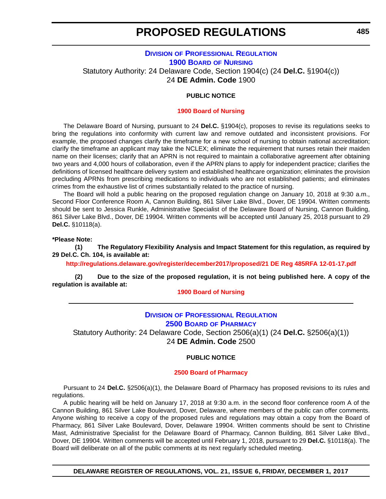# <span id="page-32-0"></span>**DIVISION [OF PROFESSIONAL REGULATION](https://dpr.delaware.gov/boards/nursing/) 1900 BOARD OF NURSING** Statutory Authority: 24 Delaware Code, Section 1904(c) (24 **Del.C.** §1904(c)) 24 **DE Admin. Code** 1900

#### **PUBLIC NOTICE**

#### **[1900 Board of Nursing](#page-3-0)**

The Delaware Board of Nursing, pursuant to 24 **Del.C.** §1904(c), proposes to revise its regulations seeks to bring the regulations into conformity with current law and remove outdated and inconsistent provisions. For example, the proposed changes clarify the timeframe for a new school of nursing to obtain national accreditation; clarify the timeframe an applicant may take the NCLEX; eliminate the requirement that nurses retain their maiden name on their licenses; clarify that an APRN is not required to maintain a collaborative agreement after obtaining two years and 4,000 hours of collaboration, even if the APRN plans to apply for independent practice; clarifies the definitions of licensed healthcare delivery system and established healthcare organization; eliminates the provision precluding APRNs from prescribing medications to individuals who are not established patients; and eliminates crimes from the exhaustive list of crimes substantially related to the practice of nursing.

The Board will hold a public hearing on the proposed regulation change on January 10, 2018 at 9:30 a.m., Second Floor Conference Room A, Cannon Building, 861 Silver Lake Blvd., Dover, DE 19904. Written comments should be sent to Jessica Runkle, Administrative Specialist of the Delaware Board of Nursing, Cannon Building, 861 Silver Lake Blvd., Dover, DE 19904. Written comments will be accepted until January 25, 2018 pursuant to 29 **Del.C.** §10118(a).

#### **\*Please Note:**

**(1) The Regulatory Flexibility Analysis and Impact Statement for this regulation, as required by 29 Del.C. Ch. 104, is available at:**

**<http://regulations.delaware.gov/register/december2017/proposed/21 DE Reg 485RFA 12-01-17.pdf>**

**(2) Due to the size of the proposed regulation, it is not being published here. A copy of the regulation is available at:**

### **[1900 Board of Nursing](http://regulations.delaware.gov/register/december2017/proposed/21 DE Reg 485 12-01-17.htm)**

# **DIVISION [OF PROFESSIONAL REGULATION](https://dpr.delaware.gov/boards/pharmacy/) 2500 BOARD OF PHARMACY**

Statutory Authority: 24 Delaware Code, Section 2506(a)(1) (24 **Del.C.** §2506(a)(1)) 24 **DE Admin. Code** 2500

### **PUBLIC NOTICE**

#### **[2500 Board of Pharmacy](#page-3-0)**

Pursuant to 24 **Del.C.** §2506(a)(1), the Delaware Board of Pharmacy has proposed revisions to its rules and regulations.

A public hearing will be held on January 17, 2018 at 9:30 a.m. in the second floor conference room A of the Cannon Building, 861 Silver Lake Boulevard, Dover, Delaware, where members of the public can offer comments. Anyone wishing to receive a copy of the proposed rules and regulations may obtain a copy from the Board of Pharmacy, 861 Silver Lake Boulevard, Dover, Delaware 19904. Written comments should be sent to Christine Mast, Administrative Specialist for the Delaware Board of Pharmacy, Cannon Building, 861 Silver Lake Blvd., Dover, DE 19904. Written comments will be accepted until February 1, 2018, pursuant to 29 **Del.C.** §10118(a). The Board will deliberate on all of the public comments at its next regularly scheduled meeting.

**DELAWARE REGISTER OF REGULATIONS, VOL. 21, ISSUE 6, FRIDAY, DECEMBER 1, 2017**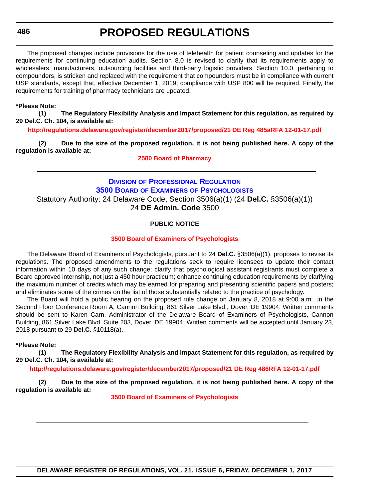### <span id="page-33-0"></span>**486**

# **PROPOSED REGULATIONS**

The proposed changes include provisions for the use of telehealth for patient counseling and updates for the requirements for continuing education audits. Section 8.0 is revised to clarify that its requirements apply to wholesalers, manufacturers, outsourcing facilities and third-party logistic providers. Section 10.0, pertaining to compounders, is stricken and replaced with the requirement that compounders must be in compliance with current USP standards, except that, effective December 1, 2019, compliance with USP 800 will be required. Finally, the requirements for training of pharmacy technicians are updated.

#### **\*Please Note:**

**(1) The Regulatory Flexibility Analysis and Impact Statement for this regulation, as required by 29 Del.C. Ch. 104, is available at:**

**<http://regulations.delaware.gov/register/december2017/proposed/21 DE Reg 485aRFA 12-01-17.pdf>**

**(2) Due to the size of the proposed regulation, it is not being published here. A copy of the regulation is available at:**

**[2500 Board of Pharmacy](http://regulations.delaware.gov/register/december2017/proposed/21 DE Reg 485a 12-01-17.htm)** 

**DIVISION [OF PROFESSIONAL REGULATION](https://dpr.delaware.gov/boards/psychology/) 3500 BOARD OF EXAMINERS OF PSYCHOLOGISTS** Statutory Authority: 24 Delaware Code, Section 3506(a)(1) (24 **Del.C.** §3506(a)(1)) 24 **DE Admin. Code** 3500

### **PUBLIC NOTICE**

#### **[3500 Board of Examiners of Psychologists](#page-3-0)**

The Delaware Board of Examiners of Psychologists, pursuant to 24 **Del.C.** §3506(a)(1), proposes to revise its regulations. The proposed amendments to the regulations seek to require licensees to update their contact information within 10 days of any such change; clarify that psychological assistant registrants must complete a Board approved internship, not just a 450 hour practicum; enhance continuing education requirements by clarifying the maximum number of credits which may be earned for preparing and presenting scientific papers and posters; and eliminates some of the crimes on the list of those substantially related to the practice of psychology.

The Board will hold a public hearing on the proposed rule change on January 8, 2018 at 9:00 a.m., in the Second Floor Conference Room A, Cannon Building, 861 Silver Lake Blvd., Dover, DE 19904. Written comments should be sent to Karen Carn, Administrator of the Delaware Board of Examiners of Psychologists, Cannon Building, 861 Silver Lake Blvd, Suite 203, Dover, DE 19904. Written comments will be accepted until January 23, 2018 pursuant to 29 **Del.C.** §10118(a).

#### **\*Please Note:**

**(1) The Regulatory Flexibility Analysis and Impact Statement for this regulation, as required by 29 Del.C. Ch. 104, is available at:**

**<http://regulations.delaware.gov/register/december2017/proposed/21 DE Reg 486RFA 12-01-17.pdf>**

**(2) Due to the size of the proposed regulation, it is not being published here. A copy of the regulation is available at:**

**[3500 Board of Examiners of Psychologists](http://regulations.delaware.gov/register/december2017/proposed/21 DE Reg 486 12-01-17.htm)**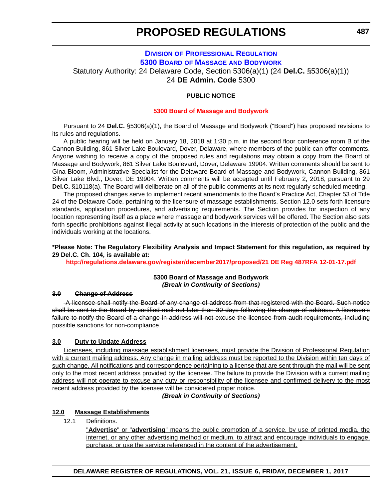# **DIVISION [OF PROFESSIONAL REGULATION](https://dpr.delaware.gov/boards/massagebodyworks/) 5300 BOARD OF MASSAGE AND BODYWORK**

<span id="page-34-0"></span>Statutory Authority: 24 Delaware Code, Section 5306(a)(1) (24 **Del.C.** §5306(a)(1)) 24 **DE Admin. Code** 5300

# **PUBLIC NOTICE**

### **[5300 Board of Massage and Bodywork](#page-3-0)**

Pursuant to 24 **Del.C.** §5306(a)(1), the Board of Massage and Bodywork ("Board") has proposed revisions to its rules and regulations.

A public hearing will be held on January 18, 2018 at 1:30 p.m. in the second floor conference room B of the Cannon Building, 861 Silver Lake Boulevard, Dover, Delaware, where members of the public can offer comments. Anyone wishing to receive a copy of the proposed rules and regulations may obtain a copy from the Board of Massage and Bodywork, 861 Silver Lake Boulevard, Dover, Delaware 19904. Written comments should be sent to Gina Bloom, Administrative Specialist for the Delaware Board of Massage and Bodywork, Cannon Building, 861 Silver Lake Blvd., Dover, DE 19904. Written comments will be accepted until February 2, 2018, pursuant to 29 **Del.C.** §10118(a). The Board will deliberate on all of the public comments at its next regularly scheduled meeting.

The proposed changes serve to implement recent amendments to the Board's Practice Act, Chapter 53 of Title 24 of the Delaware Code, pertaining to the licensure of massage establishments. Section 12.0 sets forth licensure standards, application procedures, and advertising requirements. The Section provides for inspection of any location representing itself as a place where massage and bodywork services will be offered. The Section also sets forth specific prohibitions against illegal activity at such locations in the interests of protection of the public and the individuals working at the locations.

### **\*Please Note: The Regulatory Flexibility Analysis and Impact Statement for this regulation, as required by 29 Del.C. Ch. 104, is available at:**

**<http://regulations.delaware.gov/register/december2017/proposed/21 DE Reg 487RFA 12-01-17.pdf>**

### **5300 Board of Massage and Bodywork** *(Break in Continuity of Sections)*

#### **3.0 Change of Address**

 A licensee shall notify the Board of any change of address from that registered with the Board. Such notice shall be sent to the Board by certified mail not later than 30 days following the change of address. A licensee's failure to notify the Board of a change in address will not excuse the licensee from audit requirements, including possible sanctions for non-compliance.

### **3.0 Duty to Update Address**

Licensees, including massage establishment licensees, must provide the Division of Professional Regulation with a current mailing address. Any change in mailing address must be reported to the Division within ten days of such change. All notifications and correspondence pertaining to a license that are sent through the mail will be sent only to the most recent address provided by the licensee. The failure to provide the Division with a current mailing address will not operate to excuse any duty or responsibility of the licensee and confirmed delivery to the most recent address provided by the licensee will be considered proper notice.

### *(Break in Continuity of Sections)*

# **12.0 Massage Establishments**

12.1 Definitions.

"**Advertise**" or "**advertising**" means the public promotion of a service, by use of printed media, the internet, or any other advertising method or medium, to attract and encourage individuals to engage, purchase, or use the service referenced in the content of the advertisement.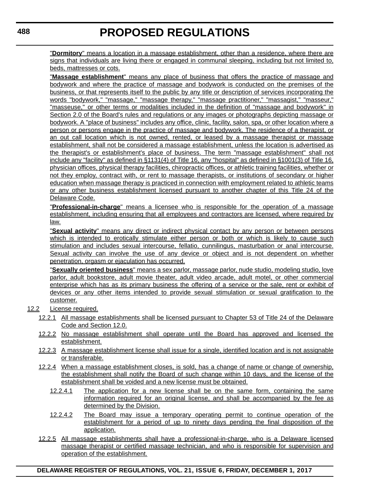"**Dormitory**" means a location in a massage establishment, other than a residence, where there are signs that individuals are living there or engaged in communal sleeping, including but not limited to, beds, mattresses or cots.

"**Massage establishment**" means any place of business that offers the practice of massage and bodywork and where the practice of massage and bodywork is conducted on the premises of the business, or that represents itself to the public by any title or description of services incorporating the words "bodywork," "massage," "massage therapy," "massage practitioner," "massagist," "masseur," "masseuse," or other terms or modalities included in the definition of "massage and bodywork" in Section 2.0 of the Board's rules and regulations or any images or photographs depicting massage or bodywork. A "place of business" includes any office, clinic, facility, salon, spa, or other location where a person or persons engage in the practice of massage and bodywork. The residence of a therapist, or an out call location which is not owned, rented, or leased by a massage therapist or massage establishment, shall not be considered a massage establishment, unless the location is advertised as the therapist's or establishment's place of business. The term "massage establishment" shall not include any "facility" as defined in §1131(4) of Title 16, any "hospital" as defined in §1001(3) of Title 16, physician offices, physical therapy facilities, chiropractic offices, or athletic training facilities, whether or not they employ, contract with, or rent to massage therapists, or institutions of secondary or higher education when massage therapy is practiced in connection with employment related to athletic teams or any other business establishment licensed pursuant to another chapter of this Title 24 of the Delaware Code.

"**Professional-in-charge**" means a licensee who is responsible for the operation of a massage establishment, including ensuring that all employees and contractors are licensed, where required by law.

"**Sexual activity**" means any direct or indirect physical contact by any person or between persons which is intended to erotically stimulate either person or both or which is likely to cause such stimulation and includes sexual intercourse, fellatio, cunnilingus, masturbation or anal intercourse. Sexual activity can involve the use of any device or object and is not dependent on whether penetration, orgasm or ejaculation has occurred.

"**Sexually oriented business**" means a sex parlor, massage parlor, nude studio, modeling studio, love parlor, adult bookstore, adult movie theater, adult video arcade, adult motel, or other commercial enterprise which has as its primary business the offering of a service or the sale, rent or exhibit of devices or any other items intended to provide sexual stimulation or sexual gratification to the customer.

- 12.2 License required.
	- 12.2.1 All massage establishments shall be licensed pursuant to Chapter 53 of Title 24 of the Delaware Code and Section 12.0.
	- 12.2.2 No massage establishment shall operate until the Board has approved and licensed the establishment.
	- 12.2.3 A massage establishment license shall issue for a single, identified location and is not assignable or transferable.
	- 12.2.4 When a massage establishment closes, is sold, has a change of name or change of ownership, the establishment shall notify the Board of such change within 10 days, and the license of the establishment shall be voided and a new license must be obtained.
		- 12.2.4.1 The application for a new license shall be on the same form, containing the same information required for an original license, and shall be accompanied by the fee as determined by the Division.
		- 12.2.4.2 The Board may issue a temporary operating permit to continue operation of the establishment for a period of up to ninety days pending the final disposition of the application.
	- 12.2.5 All massage establishments shall have a professional-in-charge, who is a Delaware licensed massage therapist or certified massage technician, and who is responsible for supervision and operation of the establishment.

**DELAWARE REGISTER OF REGULATIONS, VOL. 21, ISSUE 6, FRIDAY, DECEMBER 1, 2017**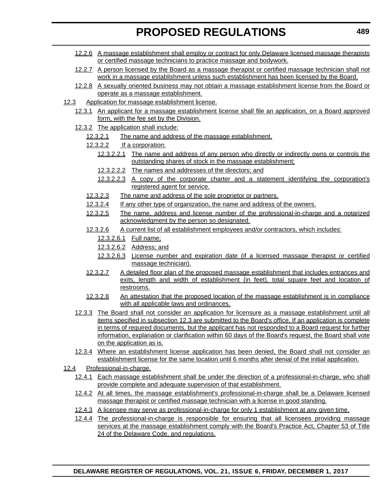- 12.2.6 A massage establishment shall employ or contract for only Delaware licensed massage therapists or certified massage technicians to practice massage and bodywork.
- 12.2.7 A person licensed by the Board as a massage therapist or certified massage technician shall not work in a massage establishment unless such establishment has been licensed by the Board.
- 12.2.8 A sexually oriented business may not obtain a massage establishment license from the Board or operate as a massage establishment.

# 12.3 Application for massage establishment license.

- 12.3.1 An applicant for a massage establishment license shall file an application, on a Board approved form, with the fee set by the Division.
- 12.3.2 The application shall include:
	- 12.3.2.1 The name and address of the massage establishment.
	- 12.3.2.2 If a corporation:
		- 12.3.2.2.1 The name and address of any person who directly or indirectly owns or controls the outstanding shares of stock in the massage establishment;
		- 12.3.2.2.2 The names and addresses of the directors; and
		- 12.3.2.2.3 A copy of the corporate charter and a statement identifying the corporation's registered agent for service.
	- 12.3.2.3 The name and address of the sole proprietor or partners.
	- 12.3.2.4 If any other type of organization, the name and address of the owners.
	- 12.3.2.5 The name, address and license number of the professional-in-charge and a notarized acknowledgment by the person so designated.
	- 12.3.2.6 A current list of all establishment employees and/or contractors, which includes:
		- 12.3.2.6.1 Full name;
		- 12.3.2.6.2 Address; and
		- 12.3.2.6.3 License number and expiration date (if a licensed massage therapist or certified massage technician).
	- 12.3.2.7 A detailed floor plan of the proposed massage establishment that includes entrances and exits, length and width of establishment (in feet), total square feet and location of restrooms.
	- 12.3.2.8 An attestation that the proposed location of the massage establishment is in compliance with all applicable laws and ordinances.
- 12.3.3 The Board shall not consider an application for licensure as a massage establishment until all items specified in subsection 12.3 are submitted to the Board's office. If an application is complete in terms of required documents, but the applicant has not responded to a Board request for further information, explanation or clarification within 60 days of the Board's request, the Board shall vote on the application as is.
- 12.3.4 Where an establishment license application has been denied, the Board shall not consider an establishment license for the same location until 6 months after denial of the initial application.
- 12.4 Professional-in-charge.
	- 12.4.1 Each massage establishment shall be under the direction of a professional-in-charge, who shall provide complete and adequate supervision of that establishment.
	- 12.4.2 At all times, the massage establishment's professional-in-charge shall be a Delaware licensed massage therapist or certified massage technician with a license in good standing.
	- 12.4.3 A licensee may serve as professional-in-charge for only 1 establishment at any given time.
	- 12.4.4 The professional-in-charge is responsible for ensuring that all licensees providing massage services at the massage establishment comply with the Board's Practice Act, Chapter 53 of Title 24 of the Delaware Code, and regulations.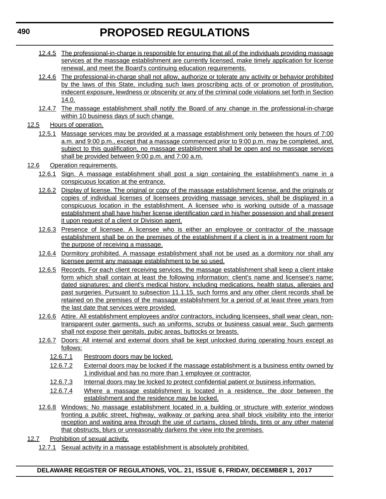- 12.4.5 The professional-in-charge is responsible for ensuring that all of the individuals providing massage services at the massage establishment are currently licensed, make timely application for license renewal, and meet the Board's continuing education requirements.
- 12.4.6 The professional-in-charge shall not allow, authorize or tolerate any activity or behavior prohibited by the laws of this State, including such laws proscribing acts of or promotion of prostitution, indecent exposure, lewdness or obscenity or any of the criminal code violations set forth in Section 14.0.
- 12.4.7 The massage establishment shall notify the Board of any change in the professional-in-charge within 10 business days of such change.
- 12.5 Hours of operation.
	- 12.5.1 Massage services may be provided at a massage establishment only between the hours of 7:00 a.m. and 9:00 p.m., except that a massage commenced prior to 9:00 p.m. may be completed, and, subject to this qualification, no massage establishment shall be open and no massage services shall be provided between 9:00 p.m. and 7:00 a.m.
- 12.6 Operation requirements.
	- 12.6.1 Sign. A massage establishment shall post a sign containing the establishment's name in a conspicuous location at the entrance.
	- 12.6.2 Display of license. The original or copy of the massage establishment license, and the originals or copies of individual licenses of licensees providing massage services, shall be displayed in a conspicuous location in the establishment. A licensee who is working outside of a massage establishment shall have his/her license identification card in his/her possession and shall present it upon request of a client or Division agent.
	- 12.6.3 Presence of licensee. A licensee who is either an employee or contractor of the massage establishment shall be on the premises of the establishment if a client is in a treatment room for the purpose of receiving a massage.
	- 12.6.4 Dormitory prohibited. A massage establishment shall not be used as a dormitory nor shall any licensee permit any massage establishment to be so used.
	- 12.6.5 Records. For each client receiving services, the massage establishment shall keep a client intake form which shall contain at least the following information: client's name and licensee's name; dated signatures; and client's medical history, including medications, health status, allergies and past surgeries. Pursuant to subsection 11.1.15, such forms and any other client records shall be retained on the premises of the massage establishment for a period of at least three years from the last date that services were provided.
	- 12.6.6 Attire. All establishment employees and/or contractors, including licensees, shall wear clean, nontransparent outer garments, such as uniforms, scrubs or business casual wear. Such garments shall not expose their genitals, pubic areas, buttocks or breasts.
	- 12.6.7 Doors: All internal and external doors shall be kept unlocked during operating hours except as follows:
		- 12.6.7.1 Restroom doors may be locked.
		- 12.6.7.2 External doors may be locked if the massage establishment is a business entity owned by 1 individual and has no more than 1 employee or contractor.
		- 12.6.7.3 Internal doors may be locked to protect confidential patient or business information.
		- 12.6.7.4 Where a massage establishment is located in a residence, the door between the establishment and the residence may be locked.
	- 12.6.8 Windows: No massage establishment located in a building or structure with exterior windows fronting a public street, highway, walkway or parking area shall block visibility into the interior reception and waiting area through the use of curtains, closed blinds, tints or any other material that obstructs, blurs or unreasonably darkens the view into the premises.
- 12.7 Prohibition of sexual activity.
	- 12.7.1 Sexual activity in a massage establishment is absolutely prohibited.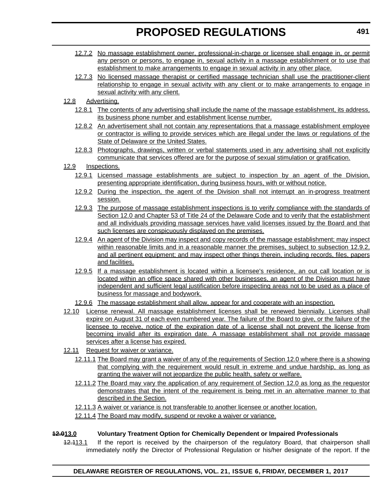- 12.7.2 No massage establishment owner, professional-in-charge or licensee shall engage in, or permit any person or persons, to engage in, sexual activity in a massage establishment or to use that establishment to make arrangements to engage in sexual activity in any other place.
- 12.7.3 No licensed massage therapist or certified massage technician shall use the practitioner-client relationship to engage in sexual activity with any client or to make arrangements to engage in sexual activity with any client.

# 12.8 Advertising.

- 12.8.1 The contents of any advertising shall include the name of the massage establishment, its address, its business phone number and establishment license number.
- 12.8.2 An advertisement shall not contain any representations that a massage establishment employee or contractor is willing to provide services which are illegal under the laws or regulations of the State of Delaware or the United States.
- 12.8.3 Photographs, drawings, written or verbal statements used in any advertising shall not explicitly communicate that services offered are for the purpose of sexual stimulation or gratification.

# 12.9 Inspections.

- 12.9.1 Licensed massage establishments are subject to inspection by an agent of the Division, presenting appropriate identification, during business hours, with or without notice.
- 12.9.2 During the inspection, the agent of the Division shall not interrupt an in-progress treatment session.
- 12.9.3 The purpose of massage establishment inspections is to verify compliance with the standards of Section 12.0 and Chapter 53 of Title 24 of the Delaware Code and to verify that the establishment and all individuals providing massage services have valid licenses issued by the Board and that such licenses are conspicuously displayed on the premises.
- 12.9.4 An agent of the Division may inspect and copy records of the massage establishment; may inspect within reasonable limits and in a reasonable manner the premises, subject to subsection 12.9.2, and all pertinent equipment; and may inspect other things therein, including records, files, papers and facilities.
- 12.9.5 If a massage establishment is located within a licensee's residence, an out call location or is located within an office space shared with other businesses, an agent of the Division must have independent and sufficient legal justification before inspecting areas not to be used as a place of business for massage and bodywork.
- 12.9.6 The massage establishment shall allow, appear for and cooperate with an inspection.
- 12.10 License renewal. All massage establishment licenses shall be renewed biennially. Licenses shall expire on August 31 of each even numbered year. The failure of the Board to give, or the failure of the licensee to receive, notice of the expiration date of a license shall not prevent the license from becoming invalid after its expiration date. A massage establishment shall not provide massage services after a license has expired.
- 12.11 Request for waiver or variance.
	- 12.11.1 The Board may grant a waiver of any of the requirements of Section 12.0 where there is a showing that complying with the requirement would result in extreme and undue hardship, as long as granting the waiver will not jeopardize the public health, safety or welfare.
	- 12.11.2 The Board may vary the application of any requirement of Section 12.0 as long as the requestor demonstrates that the intent of the requirement is being met in an alternative manner to that described in the Section.
	- 12.11.3 A waiver or variance is not transferable to another licensee or another location.
	- 12.11.4 The Board may modify, suspend or revoke a waiver or variance.

# **12.013.0 Voluntary Treatment Option for Chemically Dependent or Impaired Professionals**

42.413.1 If the report is received by the chairperson of the regulatory Board, that chairperson shall immediately notify the Director of Professional Regulation or his/her designate of the report. If the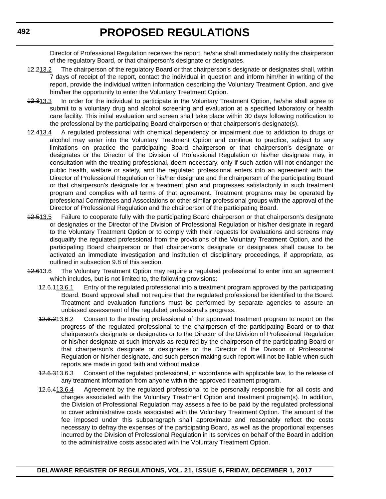Director of Professional Regulation receives the report, he/she shall immediately notify the chairperson of the regulatory Board, or that chairperson's designate or designates.

- 42.213.2 The chairperson of the regulatory Board or that chairperson's designate or designates shall, within 7 days of receipt of the report, contact the individual in question and inform him/her in writing of the report, provide the individual written information describing the Voluntary Treatment Option, and give him/her the opportunity to enter the Voluntary Treatment Option.
- 12.313.3 In order for the individual to participate in the Voluntary Treatment Option, he/she shall agree to submit to a voluntary drug and alcohol screening and evaluation at a specified laboratory or health care facility. This initial evaluation and screen shall take place within 30 days following notification to the professional by the participating Board chairperson or that chairperson's designate(s).
- 42.413.4 A regulated professional with chemical dependency or impairment due to addiction to drugs or alcohol may enter into the Voluntary Treatment Option and continue to practice, subject to any limitations on practice the participating Board chairperson or that chairperson's designate or designates or the Director of the Division of Professional Regulation or his/her designate may, in consultation with the treating professional, deem necessary, only if such action will not endanger the public health, welfare or safety, and the regulated professional enters into an agreement with the Director of Professional Regulation or his/her designate and the chairperson of the participating Board or that chairperson's designate for a treatment plan and progresses satisfactorily in such treatment program and complies with all terms of that agreement. Treatment programs may be operated by professional Committees and Associations or other similar professional groups with the approval of the Director of Professional Regulation and the chairperson of the participating Board.
- 42.513.5 Failure to cooperate fully with the participating Board chairperson or that chairperson's designate or designates or the Director of the Division of Professional Regulation or his/her designate in regard to the Voluntary Treatment Option or to comply with their requests for evaluations and screens may disqualify the regulated professional from the provisions of the Voluntary Treatment Option, and the participating Board chairperson or that chairperson's designate or designates shall cause to be activated an immediate investigation and institution of disciplinary proceedings, if appropriate, as outlined in subsection 9.8 of this section.
- 12.613.6 The Voluntary Treatment Option may require a regulated professional to enter into an agreement which includes, but is not limited to, the following provisions:
	- 12.6.113.6.1 Entry of the regulated professional into a treatment program approved by the participating Board. Board approval shall not require that the regulated professional be identified to the Board. Treatment and evaluation functions must be performed by separate agencies to assure an unbiased assessment of the regulated professional's progress.
	- 12.6.213.6.2 Consent to the treating professional of the approved treatment program to report on the progress of the regulated professional to the chairperson of the participating Board or to that chairperson's designate or designates or to the Director of the Division of Professional Regulation or his/her designate at such intervals as required by the chairperson of the participating Board or that chairperson's designate or designates or the Director of the Division of Professional Regulation or his/her designate, and such person making such report will not be liable when such reports are made in good faith and without malice.
	- 12.6.313.6.3 Consent of the regulated professional, in accordance with applicable law, to the release of any treatment information from anyone within the approved treatment program.
	- 42.6.413.6.4 Agreement by the regulated professional to be personally responsible for all costs and charges associated with the Voluntary Treatment Option and treatment program(s). In addition, the Division of Professional Regulation may assess a fee to be paid by the regulated professional to cover administrative costs associated with the Voluntary Treatment Option. The amount of the fee imposed under this subparagraph shall approximate and reasonably reflect the costs necessary to defray the expenses of the participating Board, as well as the proportional expenses incurred by the Division of Professional Regulation in its services on behalf of the Board in addition to the administrative costs associated with the Voluntary Treatment Option.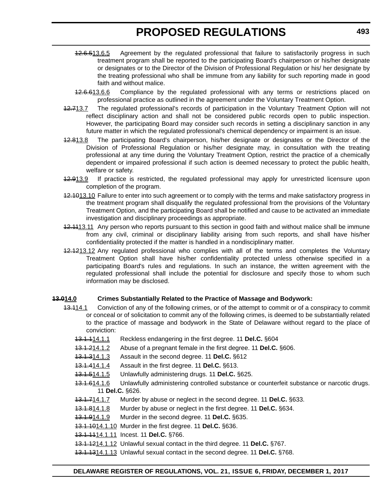- 12.6.513.6.5 Agreement by the regulated professional that failure to satisfactorily progress in such treatment program shall be reported to the participating Board's chairperson or his/her designate or designates or to the Director of the Division of Professional Regulation or his/ her designate by the treating professional who shall be immune from any liability for such reporting made in good faith and without malice.
- 42.6.613.6.6 Compliance by the regulated professional with any terms or restrictions placed on professional practice as outlined in the agreement under the Voluntary Treatment Option.
- 12.713.7 The regulated professional's records of participation in the Voluntary Treatment Option will not reflect disciplinary action and shall not be considered public records open to public inspection. However, the participating Board may consider such records in setting a disciplinary sanction in any future matter in which the regulated professional's chemical dependency or impairment is an issue.
- 12.813.8 The participating Board's chairperson, his/her designate or designates or the Director of the Division of Professional Regulation or his/her designate may, in consultation with the treating professional at any time during the Voluntary Treatment Option, restrict the practice of a chemically dependent or impaired professional if such action is deemed necessary to protect the public health, welfare or safety.
- 42.913.9 If practice is restricted, the regulated professional may apply for unrestricted licensure upon completion of the program.
- 12.1013.10 Failure to enter into such agreement or to comply with the terms and make satisfactory progress in the treatment program shall disqualify the regulated professional from the provisions of the Voluntary Treatment Option, and the participating Board shall be notified and cause to be activated an immediate investigation and disciplinary proceedings as appropriate.
- 12.1113.11 Any person who reports pursuant to this section in good faith and without malice shall be immune from any civil, criminal or disciplinary liability arising from such reports, and shall have his/her confidentiality protected if the matter is handled in a nondisciplinary matter.
- 12.1213.12 Any regulated professional who complies with all of the terms and completes the Voluntary Treatment Option shall have his/her confidentiality protected unless otherwise specified in a participating Board's rules and regulations. In such an instance, the written agreement with the regulated professional shall include the potential for disclosure and specify those to whom such information may be disclosed.

### **13.014.0 Crimes Substantially Related to the Practice of Massage and Bodywork:**

- 13.114.1 Conviction of any of the following crimes, or of the attempt to commit or of a conspiracy to commit or conceal or of solicitation to commit any of the following crimes, is deemed to be substantially related to the practice of massage and bodywork in the State of Delaware without regard to the place of conviction:
	- 13.1.114.1.1 Reckless endangering in the first degree. 11 **Del.C.** §604
	- 13.1.214.1.2 Abuse of a pregnant female in the first degree. 11 **Del.C.** §606.
	- 13.1.314.1.3 Assault in the second degree. 11 **Del.C.** §612
	- 13.1.414.1.4 Assault in the first degree. 11 **Del.C.** §613.
	- 13.1.514.1.5 Unlawfully administering drugs. 11 **Del.C.** §625.
	- 13.1.614.1.6 Unlawfully administering controlled substance or counterfeit substance or narcotic drugs. 11 **Del.C.** §626.
	- 13.1.714.1.7 Murder by abuse or neglect in the second degree. 11 **Del.C.** §633.
	- 13.1.814.1.8 Murder by abuse or neglect in the first degree. 11 **Del.C.** §634.
	- 13.1.914.1.9 Murder in the second degree. 11 **Del.C.** §635.
	- 13.1.1014.1.10 Murder in the first degree. 11 **Del.C.** §636.
	- 13.1.1114.1.11 Incest. 11 **Del.C.** §766.
	- 13.1.1214.1.12 Unlawful sexual contact in the third degree. 11 **Del.C.** §767.
	- 13.1.1314.1.13 Unlawful sexual contact in the second degree. 11 **Del.C.** §768.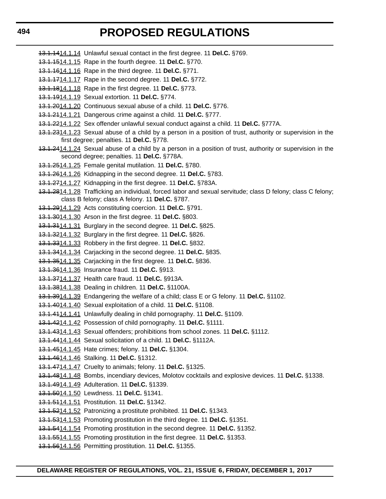- 13.1.1414.1.14 Unlawful sexual contact in the first degree. 11 **Del.C.** §769.
- 13.1.1514.1.15 Rape in the fourth degree. 11 **Del.C.** §770.
- 13.1.1614.1.16 Rape in the third degree. 11 **Del.C.** §771.
- 13.1.1714.1.17 Rape in the second degree. 11 **Del.C.** §772.
- 13.1.1814.1.18 Rape in the first degree. 11 **Del.C.** §773.
- 13.1.1914.1.19 Sexual extortion. 11 **Del.C.** §774.
- 13.1.2014.1.20 Continuous sexual abuse of a child. 11 **Del.C.** §776.
- 13.1.2114.1.21 Dangerous crime against a child. 11 **Del.C.** §777.
- 13.1.2214.1.22 Sex offender unlawful sexual conduct against a child. 11 **Del.C.** §777A.
- 13.1.2314.1.23 Sexual abuse of a child by a person in a position of trust, authority or supervision in the first degree; penalties. 11 **Del.C.** §778.
- 13.1.2414.1.24 Sexual abuse of a child by a person in a position of trust, authority or supervision in the second degree; penalties. 11 **Del.C.** §778A.
- 13.1.2514.1.25 Female genital mutilation. 11 **Del.C.** §780.
- 13.1.2614.1.26 Kidnapping in the second degree. 11 **Del.C.** §783.
- 13.1.2714.1.27 Kidnapping in the first degree. 11 **Del.C.** §783A.
- 13.1.2814.1.28 Trafficking an individual, forced labor and sexual servitude; class D felony; class C felony; class B felony; class A felony. 11 **Del.C.** §787.
- 13.1.2914.1.29 Acts constituting coercion. 11 **Del.C.** §791.
- 13.1.3014.1.30 Arson in the first degree. 11 **Del.C.** §803.
- 13.1.3114.1.31 Burglary in the second degree. 11 **Del.C.** §825.
- 13.1.3214.1.32 Burglary in the first degree. 11 **Del.C.** §826.
- 13.1.3314.1.33 Robbery in the first degree. 11 **Del.C.** §832.
- 13.1.3414.1.34 Carjacking in the second degree. 11 **Del.C.** §835.
- 13.1.3514.1.35 Carjacking in the first degree. 11 **Del.C.** §836.
- 13.1.3614.1.36 Insurance fraud. 11 **Del.C.** §913.
- 13.1.3714.1.37 Health care fraud. 11 **Del.C.** §913A.
- 13.1.3814.1.38 Dealing in children. 11 **Del.C.** §1100A.
- 13.1.3914.1.39 Endangering the welfare of a child; class E or G felony. 11 **Del.C.** §1102.
- 13.1.4014.1.40 Sexual exploitation of a child. 11 **Del.C.** §1108.
- 13.1.4114.1.41 Unlawfully dealing in child pornography. 11 **Del.C.** §1109.
- 13.1.4214.1.42 Possession of child pornography. 11 **Del.C.** §1111.
- 13.1.4314.1.43 Sexual offenders; prohibitions from school zones. 11 **Del.C.** §1112.
- 13.1.4414.1.44 Sexual solicitation of a child. 11 **Del.C.** §1112A.
- 13.1.4514.1.45 Hate crimes; felony. 11 **Del.C.** §1304.
- 13.1.4614.1.46 Stalking. 11 **Del.C.** §1312.
- 13.1.4714.1.47 Cruelty to animals; felony. 11 **Del.C.** §1325.
- 13.1.4814.1.48 Bombs, incendiary devices, Molotov cocktails and explosive devices. 11 **Del.C.** §1338.
- 13.1.4914.1.49 Adulteration. 11 **Del.C.** §1339.
- 13.1.5014.1.50 Lewdness. 11 **Del.C.** §1341.
- 13.1.5114.1.51 Prostitution. 11 **Del.C.** §1342.
- 13.1.5214.1.52 Patronizing a prostitute prohibited. 11 **Del.C.** §1343.
- 13.1.5314.1.53 Promoting prostitution in the third degree. 11 **Del.C.** §1351.
- 13.1.5414.1.54 Promoting prostitution in the second degree. 11 **Del.C.** §1352.
- 13.1.5514.1.55 Promoting prostitution in the first degree. 11 **Del.C.** §1353.
- 13.1.5614.1.56 Permitting prostitution. 11 **Del.C.** §1355.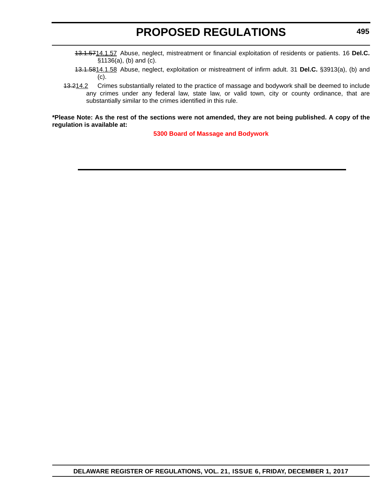- 13.1.5714.1.57 Abuse, neglect, mistreatment or financial exploitation of residents or patients. 16 **Del.C.** §1136(a), (b) and (c).
- 13.1.5814.1.58 Abuse, neglect, exploitation or mistreatment of infirm adult. 31 **Del.C.** §3913(a), (b) and (c).
- 13.214.2 Crimes substantially related to the practice of massage and bodywork shall be deemed to include any crimes under any federal law, state law, or valid town, city or county ordinance, that are substantially similar to the crimes identified in this rule.

**\*Please Note: As the rest of the sections were not amended, they are not being published. A copy of the regulation is available at:**

**[5300 Board of Massage and Bodywork](http://regulations.delaware.gov/register/december2017/proposed/21 DE Reg 487 12-01-17.htm)**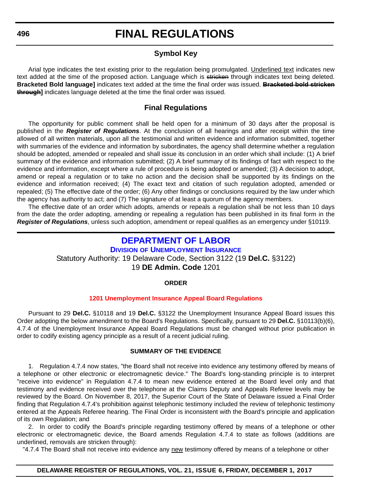# **Symbol Key**

<span id="page-43-0"></span>Arial type indicates the text existing prior to the regulation being promulgated. Underlined text indicates new text added at the time of the proposed action. Language which is stricken through indicates text being deleted. **Bracketed Bold language]** indicates text added at the time the final order was issued. **Bracketed bold stricken through]** indicates language deleted at the time the final order was issued.

# **Final Regulations**

The opportunity for public comment shall be held open for a minimum of 30 days after the proposal is published in the *Register of Regulations*. At the conclusion of all hearings and after receipt within the time allowed of all written materials, upon all the testimonial and written evidence and information submitted, together with summaries of the evidence and information by subordinates, the agency shall determine whether a regulation should be adopted, amended or repealed and shall issue its conclusion in an order which shall include: (1) A brief summary of the evidence and information submitted; (2) A brief summary of its findings of fact with respect to the evidence and information, except where a rule of procedure is being adopted or amended; (3) A decision to adopt, amend or repeal a regulation or to take no action and the decision shall be supported by its findings on the evidence and information received; (4) The exact text and citation of such regulation adopted, amended or repealed; (5) The effective date of the order; (6) Any other findings or conclusions required by the law under which the agency has authority to act; and (7) The signature of at least a quorum of the agency members.

The effective date of an order which adopts, amends or repeals a regulation shall be not less than 10 days from the date the order adopting, amending or repealing a regulation has been published in its final form in the *Register of Regulations*, unless such adoption, amendment or repeal qualifies as an emergency under §10119.

# **[DEPARTMENT OF LABOR](https://ui.delawareworks.com/) DIVISION OF UNEMPLOYMENT INSURANCE**

Statutory Authority: 19 Delaware Code, Section 3122 (19 **Del.C.** §3122) 19 **DE Admin. Code** 1201

#### **ORDER**

#### **[1201 Unemployment Insurance Appeal Board Regulations](#page-3-0)**

Pursuant to 29 **Del.C.** §10118 and 19 **Del.C.** §3122 the Unemployment Insurance Appeal Board issues this Order adopting the below amendment to the Board's Regulations. Specifically, pursuant to 29 **Del.C.** §10113(b)(6), 4.7.4 of the Unemployment Insurance Appeal Board Regulations must be changed without prior publication in order to codify existing agency principle as a result of a recent judicial ruling.

#### **SUMMARY OF THE EVIDENCE**

1. Regulation 4.7.4 now states, "the Board shall not receive into evidence any testimony offered by means of a telephone or other electronic or electromagnetic device." The Board's long-standing principle is to interpret "receive into evidence" in Regulation 4.7.4 to mean new evidence entered at the Board level only and that testimony and evidence received over the telephone at the Claims Deputy and Appeals Referee levels may be reviewed by the Board. On November 8, 2017, the Superior Court of the State of Delaware issued a Final Order finding that Regulation 4.7.4's prohibition against telephonic testimony included the review of telephonic testimony entered at the Appeals Referee hearing. The Final Order is inconsistent with the Board's principle and application of its own Regulation; and

2. In order to codify the Board's principle regarding testimony offered by means of a telephone or other electronic or electromagnetic device, the Board amends Regulation 4.7.4 to state as follows (additions are underlined, removals are stricken through):

"4.7.4 The Board shall not receive into evidence any new testimony offered by means of a telephone or other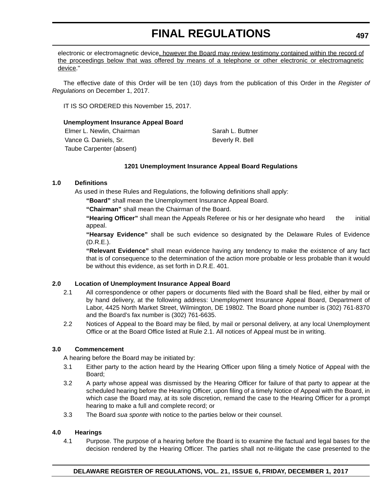electronic or electromagnetic device, however the Board may review testimony contained within the record of the proceedings below that was offered by means of a telephone or other electronic or electromagnetic device."

The effective date of this Order will be ten (10) days from the publication of this Order in the *Register of Regulations* on December 1, 2017.

IT IS SO ORDERED this November 15, 2017.

# **Unemployment Insurance Appeal Board**

Elmer L. Newlin, Chairman Sarah L. Buttner Vance G. Daniels, Sr. Beverly R. Bell Taube Carpenter (absent)

# **1201 Unemployment Insurance Appeal Board Regulations**

# **1.0 Definitions**

As used in these Rules and Regulations, the following definitions shall apply:

**"Board"** shall mean the Unemployment Insurance Appeal Board.

**"Chairman"** shall mean the Chairman of the Board.

**"Hearing Officer"** shall mean the Appeals Referee or his or her designate who heard the initial appeal.

**"Hearsay Evidence"** shall be such evidence so designated by the Delaware Rules of Evidence (D.R.E.).

**"Relevant Evidence"** shall mean evidence having any tendency to make the existence of any fact that is of consequence to the determination of the action more probable or less probable than it would be without this evidence, as set forth in D.R.E. 401.

# **2.0 Location of Unemployment Insurance Appeal Board**

- 2.1 All correspondence or other papers or documents filed with the Board shall be filed, either by mail or by hand delivery, at the following address: Unemployment Insurance Appeal Board, Department of Labor, 4425 North Market Street, Wilmington, DE 19802. The Board phone number is (302) 761-8370 and the Board's fax number is (302) 761-6635.
- 2.2 Notices of Appeal to the Board may be filed, by mail or personal delivery, at any local Unemployment Office or at the Board Office listed at Rule 2.1. All notices of Appeal must be in writing.

# **3.0 Commencement**

A hearing before the Board may be initiated by:

- 3.1 Either party to the action heard by the Hearing Officer upon filing a timely Notice of Appeal with the Board;
- 3.2 A party whose appeal was dismissed by the Hearing Officer for failure of that party to appear at the scheduled hearing before the Hearing Officer, upon filing of a timely Notice of Appeal with the Board, in which case the Board may, at its sole discretion, remand the case to the Hearing Officer for a prompt hearing to make a full and complete record; or
- 3.3 The Board *sua sponte* with notice to the parties below or their counsel.

### **4.0 Hearings**

4.1 Purpose. The purpose of a hearing before the Board is to examine the factual and legal bases for the decision rendered by the Hearing Officer. The parties shall not re-litigate the case presented to the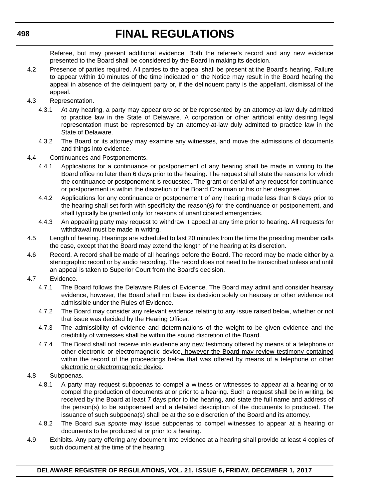Referee, but may present additional evidence. Both the referee's record and any new evidence presented to the Board shall be considered by the Board in making its decision.

- 4.2 Presence of parties required. All parties to the appeal shall be present at the Board's hearing. Failure to appear within 10 minutes of the time indicated on the Notice may result in the Board hearing the appeal in absence of the delinquent party or, if the delinquent party is the appellant, dismissal of the appeal.
- 4.3 Representation.
	- 4.3.1 At any hearing, a party may appear *pro se* or be represented by an attorney-at-law duly admitted to practice law in the State of Delaware. A corporation or other artificial entity desiring legal representation must be represented by an attorney-at-law duly admitted to practice law in the State of Delaware.
	- 4.3.2 The Board or its attorney may examine any witnesses, and move the admissions of documents and things into evidence.
- 4.4 Continuances and Postponements.
	- 4.4.1 Applications for a continuance or postponement of any hearing shall be made in writing to the Board office no later than 6 days prior to the hearing. The request shall state the reasons for which the continuance or postponement is requested. The grant or denial of any request for continuance or postponement is within the discretion of the Board Chairman or his or her designee.
	- 4.4.2 Applications for any continuance or postponement of any hearing made less than 6 days prior to the hearing shall set forth with specificity the reason(s) for the continuance or postponement, and shall typically be granted only for reasons of unanticipated emergencies.
	- 4.4.3 An appealing party may request to withdraw it appeal at any time prior to hearing. All requests for withdrawal must be made in writing.
- 4.5 Length of hearing. Hearings are scheduled to last 20 minutes from the time the presiding member calls the case, except that the Board may extend the length of the hearing at its discretion.
- 4.6 Record. A record shall be made of all hearings before the Board. The record may be made either by a stenographic record or by audio recording. The record does not need to be transcribed unless and until an appeal is taken to Superior Court from the Board's decision.
- 4.7 Evidence.
	- 4.7.1 The Board follows the Delaware Rules of Evidence. The Board may admit and consider hearsay evidence, however, the Board shall not base its decision solely on hearsay or other evidence not admissible under the Rules of Evidence.
	- 4.7.2 The Board may consider any relevant evidence relating to any issue raised below, whether or not that issue was decided by the Hearing Officer.
	- 4.7.3 The admissibility of evidence and determinations of the weight to be given evidence and the credibility of witnesses shall be within the sound discretion of the Board.
	- 4.7.4 The Board shall not receive into evidence any new testimony offered by means of a telephone or other electronic or electromagnetic device, however the Board may review testimony contained within the record of the proceedings below that was offered by means of a telephone or other electronic or electromagnetic device.
- 4.8 Subpoenas.
	- 4.8.1 A party may request subpoenas to compel a witness or witnesses to appear at a hearing or to compel the production of documents at or prior to a hearing. Such a request shall be in writing, be received by the Board at least 7 days prior to the hearing, and state the full name and address of the person(s) to be subpoenaed and a detailed description of the documents to produced. The issuance of such subpoena(s) shall be at the sole discretion of the Board and its attorney.
	- 4.8.2 The Board *sua sponte* may issue subpoenas to compel witnesses to appear at a hearing or documents to be produced at or prior to a hearing.
- 4.9 Exhibits. Any party offering any document into evidence at a hearing shall provide at least 4 copies of such document at the time of the hearing.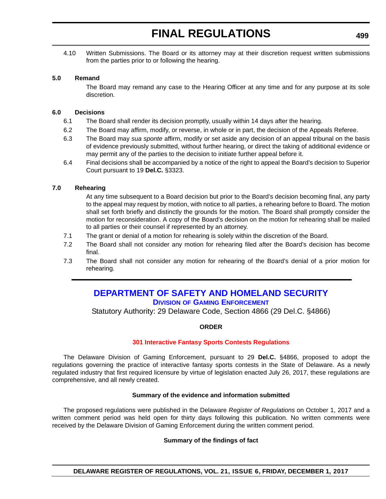<span id="page-46-0"></span>4.10 Written Submissions. The Board or its attorney may at their discretion request written submissions from the parties prior to or following the hearing.

### **5.0 Remand**

The Board may remand any case to the Hearing Officer at any time and for any purpose at its sole discretion.

### **6.0 Decisions**

- 6.1 The Board shall render its decision promptly, usually within 14 days after the hearing.
- 6.2 The Board may affirm, modify, or reverse, in whole or in part, the decision of the Appeals Referee.
- 6.3 The Board may *sua sponte* affirm, modify or set aside any decision of an appeal tribunal on the basis of evidence previously submitted, without further hearing, or direct the taking of additional evidence or may permit any of the parties to the decision to initiate further appeal before it.
- 6.4 Final decisions shall be accompanied by a notice of the right to appeal the Board's decision to Superior Court pursuant to 19 **Del.C.** §3323.

### **7.0 Rehearing**

At any time subsequent to a Board decision but prior to the Board's decision becoming final, any party to the appeal may request by motion, with notice to all parties, a rehearing before to Board. The motion shall set forth briefly and distinctly the grounds for the motion. The Board shall promptly consider the motion for reconsideration. A copy of the Board's decision on the motion for rehearing shall be mailed to all parties or their counsel if represented by an attorney.

- 7.1 The grant or denial of a motion for rehearing is solely within the discretion of the Board.
- 7.2 The Board shall not consider any motion for rehearing filed after the Board's decision has become final.
- 7.3 The Board shall not consider any motion for rehearing of the Board's denial of a prior motion for rehearing.

# **[DEPARTMENT OF SAFETY AND HOMELAND SECURITY](https://dge.delaware.gov/) DIVISION OF GAMING ENFORCEMENT**

Statutory Authority: 29 Delaware Code, Section 4866 (29 Del.C. §4866)

### **ORDER**

### **[301 Interactive Fantasy Sports Contests Regulations](#page-3-0)**

The Delaware Division of Gaming Enforcement, pursuant to 29 **Del.C.** §4866, proposed to adopt the regulations governing the practice of interactive fantasy sports contests in the State of Delaware. As a newly regulated industry that first required licensure by virtue of legislation enacted July 26, 2017, these regulations are comprehensive, and all newly created.

#### **Summary of the evidence and information submitted**

The proposed regulations were published in the Delaware *Register of Regulations* on October 1, 2017 and a written comment period was held open for thirty days following this publication. No written comments were received by the Delaware Division of Gaming Enforcement during the written comment period.

### **Summary of the findings of fact**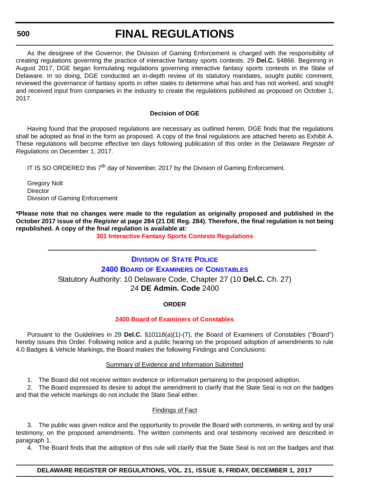### <span id="page-47-0"></span>**500**

# **FINAL REGULATIONS**

As the designee of the Governor, the Division of Gaming Enforcement is charged with the responsibility of creating regulations governing the practice of interactive fantasy sports contests. 29 **Del.C.** §4866. Beginning in August 2017, DGE began formulating regulations governing interactive fantasy sports contests in the State of Delaware. In so doing, DGE conducted an in-depth review of its statutory mandates, sought public comment, reviewed the governance of fantasy sports in other states to determine what has and has not worked, and sought and received input from companies in the industry to create the regulations published as proposed on October 1, 2017.

### **Decision of DGE**

Having found that the proposed regulations are necessary as outlined herein, DGE finds that the regulations shall be adopted as final in the form as proposed. A copy of the final regulations are attached hereto as Exhibit A. These regulations will become effective ten days following publication of this order in the Delaware *Register of Regulations* on December 1, 2017.

IT IS SO ORDERED this  $7<sup>th</sup>$  day of November, 2017 by the Division of Gaming Enforcement.

Gregory Nolt **Director** Division of Gaming Enforcement

**\*Please note that no changes were made to the regulation as originally proposed and published in the October 2017 issue of the** *Register* **at page 284 (21 DE Reg. 284). Therefore, the final regulation is not being republished. A copy of the final regulation is available at:**

**[301 Interactive Fantasy Sports Contests Regulations](http://regulations.delaware.gov/register/december2017/final/21 DE Reg 499 12-01-17.htm)** 

# **DIVISION [OF STATE POLICE](http://dsp.delaware.gov/)**

### **2400 BOARD OF EXAMINERS OF CONSTABLES**

Statutory Authority: 10 Delaware Code, Chapter 27 (10 **Del.C.** Ch. 27) 24 **DE Admin. Code** 2400

### **ORDER**

### **[2400 Board of Examiners of Constables](#page-3-0)**

Pursuant to the Guidelines in 29 **Del.C.** §10118(a)(1)-(7), the Board of Examiners of Constables ("Board") hereby issues this Order. Following notice and a public hearing on the proposed adoption of amendments to rule 4.0 Badges & Vehicle Markings, the Board makes the following Findings and Conclusions:

#### Summary of Evidence and Information Submitted

1. The Board did not receive written evidence or information pertaining to the proposed adoption.

2. The Board expressed its desire to adopt the amendment to clarify that the State Seal is not on the badges and that the vehicle markings do not include the State Seal either.

### Findings of Fact

3. The public was given notice and the opportunity to provide the Board with comments, in writing and by oral testimony, on the proposed amendments. The written comments and oral testimony received are described in paragraph 1.

4. The Board finds that the adoption of this rule will clarify that the State Seal is not on the badges and that

### **DELAWARE REGISTER OF REGULATIONS, VOL. 21, ISSUE 6, FRIDAY, DECEMBER 1, 2017**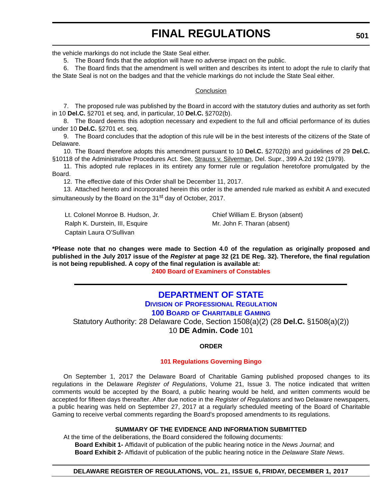<span id="page-48-0"></span>the vehicle markings do not include the State Seal either.

5. The Board finds that the adoption will have no adverse impact on the public.

6. The Board finds that the amendment is well written and describes its intent to adopt the rule to clarify that the State Seal is not on the badges and that the vehicle markings do not include the State Seal either.

### **Conclusion**

7. The proposed rule was published by the Board in accord with the statutory duties and authority as set forth in 10 **Del.C.** §2701 et seq. and, in particular, 10 **Del.C.** §2702(b).

8. The Board deems this adoption necessary and expedient to the full and official performance of its duties under 10 **Del.C.** §2701 et. seq.

9. The Board concludes that the adoption of this rule will be in the best interests of the citizens of the State of Delaware.

10. The Board therefore adopts this amendment pursuant to 10 **Del.C.** §2702(b) and guidelines of 29 **Del.C.** §10118 of the Administrative Procedures Act. See, Strauss v. Silverman, Del. Supr., 399 A.2d 192 (1979).

11. This adopted rule replaces in its entirety any former rule or regulation heretofore promulgated by the Board.

12. The effective date of this Order shall be December 11, 2017.

13. Attached hereto and incorporated herein this order is the amended rule marked as exhibit A and executed simultaneously by the Board on the 31<sup>st</sup> day of October, 2017.

Lt. Colonel Monroe B. Hudson, Jr. Chief William E. Bryson (absent) Ralph K. Durstein, III, Esquire Mr. John F. Tharan (absent) Captain Laura O'Sullivan

**\*Please note that no changes were made to Section 4.0 of the regulation as originally proposed and published in the July 2017 issue of the** *Register* **at page 32 (21 DE Reg. 32). Therefore, the final regulation is not being republished. A copy of the final regulation is available at:**

**[2400 Board of Examiners of Constables](http://regulations.delaware.gov/register/december2017/final/21 DE Reg 500 12-01-17.htm)** 

# **[DEPARTMENT OF STATE](https://dpr.delaware.gov/boards/gaming/) DIVISION OF PROFESSIONAL REGULATION**

# **100 BOARD OF CHARITABLE GAMING**

Statutory Authority: 28 Delaware Code, Section 1508(a)(2) (28 **Del.C.** §1508(a)(2)) 10 **DE Admin. Code** 101

# **ORDER**

### **[101 Regulations Governing Bingo](#page-3-0)**

On September 1, 2017 the Delaware Board of Charitable Gaming published proposed changes to its regulations in the Delaware *Register of Regulations*, Volume 21, Issue 3. The notice indicated that written comments would be accepted by the Board, a public hearing would be held, and written comments would be accepted for fifteen days thereafter. After due notice in the *Register of Regulations* and two Delaware newspapers, a public hearing was held on September 27, 2017 at a regularly scheduled meeting of the Board of Charitable Gaming to receive verbal comments regarding the Board's proposed amendments to its regulations.

# **SUMMARY OF THE EVIDENCE AND INFORMATION SUBMITTED**

At the time of the deliberations, the Board considered the following documents: **Board Exhibit 1-** Affidavit of publication of the public hearing notice in the *News Journal*; and **Board Exhibit 2-** Affidavit of publication of the public hearing notice in the *Delaware State News*.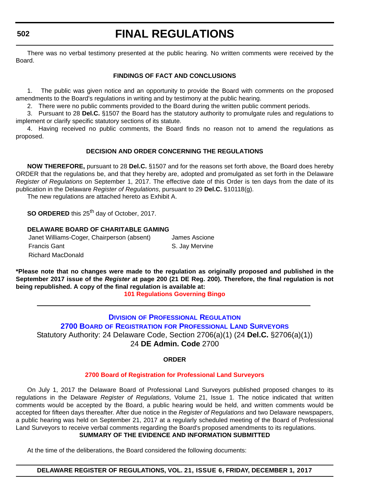#### <span id="page-49-0"></span>**502**

# **FINAL REGULATIONS**

There was no verbal testimony presented at the public hearing. No written comments were received by the Board.

#### **FINDINGS OF FACT AND CONCLUSIONS**

1. The public was given notice and an opportunity to provide the Board with comments on the proposed amendments to the Board's regulations in writing and by testimony at the public hearing.

2. There were no public comments provided to the Board during the written public comment periods.

3. Pursuant to 28 **Del.C.** §1507 the Board has the statutory authority to promulgate rules and regulations to implement or clarify specific statutory sections of its statute.

4. Having received no public comments, the Board finds no reason not to amend the regulations as proposed.

### **DECISION AND ORDER CONCERNING THE REGULATIONS**

**NOW THEREFORE,** pursuant to 28 **Del.C.** §1507 and for the reasons set forth above, the Board does hereby ORDER that the regulations be, and that they hereby are, adopted and promulgated as set forth in the Delaware *Register of Regulations* on September 1, 2017. The effective date of this Order is ten days from the date of its publication in the Delaware *Register of Regulations*, pursuant to 29 **Del.C.** §10118(g).

The new regulations are attached hereto as Exhibit A.

**SO ORDERED** this 25<sup>th</sup> day of October, 2017.

# **DELAWARE BOARD OF CHARITABLE GAMING**

| Janet Williams-Coger, Chairperson (absent) | James Ascione  |
|--------------------------------------------|----------------|
| Francis Gant                               | S. Jay Mervine |
| Richard MacDonald                          |                |

**\*Please note that no changes were made to the regulation as originally proposed and published in the September 2017 issue of the** *Register* **at page 200 (21 DE Reg. 200). Therefore, the final regulation is not being republished. A copy of the final regulation is available at:**

**[101 Regulations Governing Bingo](http://regulations.delaware.gov/register/december2017/final/21 DE Reg 501 12-01-17.htm)** 

**DIVISION OF PROFESSIONAL REGULATION 2700 BOARD OF REGISTRATION [FOR PROFESSIONAL LAND SURVEYORS](https://dpr.delaware.gov/boards/landsurveyors/)** Statutory Authority: 24 Delaware Code, Section 2706(a)(1) (24 **Del.C.** §2706(a)(1)) 24 **DE Admin. Code** 2700

#### **ORDER**

#### **[2700 Board of Registration for Professional Land Surveyors](#page-4-0)**

On July 1, 2017 the Delaware Board of Professional Land Surveyors published proposed changes to its regulations in the Delaware *Register of Regulations*, Volume 21, Issue 1. The notice indicated that written comments would be accepted by the Board, a public hearing would be held, and written comments would be accepted for fifteen days thereafter. After due notice in the *Register of Regulations* and two Delaware newspapers, a public hearing was held on September 21, 2017 at a regularly scheduled meeting of the Board of Professional Land Surveyors to receive verbal comments regarding the Board's proposed amendments to its regulations. **SUMMARY OF THE EVIDENCE AND INFORMATION SUBMITTED**

At the time of the deliberations, the Board considered the following documents:

**DELAWARE REGISTER OF REGULATIONS, VOL. 21, ISSUE 6, FRIDAY, DECEMBER 1, 2017**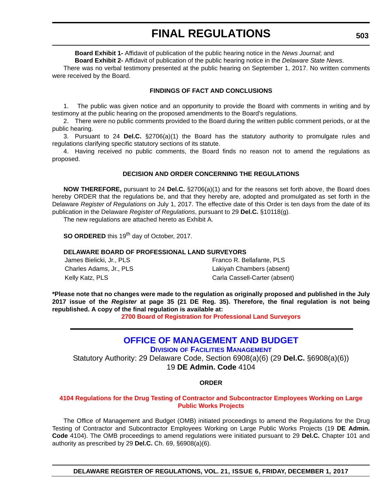**Board Exhibit 1-** Affidavit of publication of the public hearing notice in the *News Journal*; and

<span id="page-50-0"></span>**Board Exhibit 2-** Affidavit of publication of the public hearing notice in the *Delaware State News*.

There was no verbal testimony presented at the public hearing on September 1, 2017. No written comments were received by the Board.

### **FINDINGS OF FACT AND CONCLUSIONS**

1. The public was given notice and an opportunity to provide the Board with comments in writing and by testimony at the public hearing on the proposed amendments to the Board's regulations.

2. There were no public comments provided to the Board during the written public comment periods, or at the public hearing.

3. Pursuant to 24 **Del.C.** §2706(a)(1) the Board has the statutory authority to promulgate rules and regulations clarifying specific statutory sections of its statute.

4. Having received no public comments, the Board finds no reason not to amend the regulations as proposed.

### **DECISION AND ORDER CONCERNING THE REGULATIONS**

**NOW THEREFORE,** pursuant to 24 **Del.C.** §2706(a)(1) and for the reasons set forth above, the Board does hereby ORDER that the regulations be, and that they hereby are, adopted and promulgated as set forth in the Delaware *Register of Regulations* on July 1, 2017. The effective date of this Order is ten days from the date of its publication in the Delaware *Register of Regulations*, pursuant to 29 **Del.C.** §10118(g).

The new regulations are attached hereto as Exhibit A.

**SO ORDERED** this 19<sup>th</sup> day of October, 2017.

### **DELAWARE BOARD OF PROFESSIONAL LAND SURVEYORS**

| James Bielicki, Jr., PLS | Franco R. Bellafante, PLS     |
|--------------------------|-------------------------------|
| Charles Adams, Jr., PLS  | Lakiyah Chambers (absent)     |
| Kelly Katz, PLS          | Carla Cassell-Carter (absent) |

**\*Please note that no changes were made to the regulation as originally proposed and published in the July 2017 issue of the** *Register* **at page 35 (21 DE Reg. 35). Therefore, the final regulation is not being republished. A copy of the final regulation is available at:**

**[2700 Board of Registration for Professional Land Surveyors](http://regulations.delaware.gov/register/december2017/final/21 DE Reg 502 12-01-17.htm)** 

# **[OFFICE OF MANAGEMENT AND BUDGET](http://dfm.delaware.gov/)**

**DIVISION OF FACILITIES MANAGEMENT** Statutory Authority: 29 Delaware Code, Section 6908(a)(6) (29 **Del.C.** §6908(a)(6)) 19 **DE Admin. Code** 4104

### **ORDER**

### **[4104 Regulations for the Drug Testing of Contractor and Subcontractor Employees Working on Large](#page-4-0)  Public Works Projects**

The Office of Management and Budget (OMB) initiated proceedings to amend the Regulations for the Drug Testing of Contractor and Subcontractor Employees Working on Large Public Works Projects (19 **DE Admin. Code** 4104). The OMB proceedings to amend regulations were initiated pursuant to 29 **Del.C.** Chapter 101 and authority as prescribed by 29 **Del.C.** Ch. 69, §6908(a)(6).

**DELAWARE REGISTER OF REGULATIONS, VOL. 21, ISSUE 6, FRIDAY, DECEMBER 1, 2017**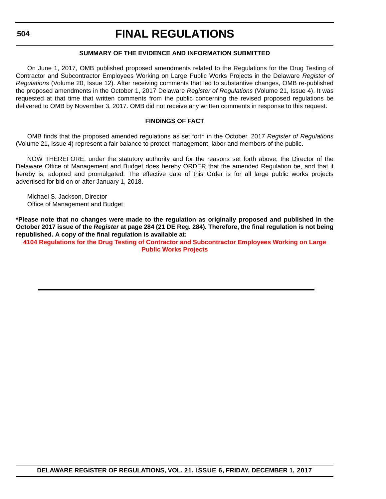### **504**

# **FINAL REGULATIONS**

# **SUMMARY OF THE EVIDENCE AND INFORMATION SUBMITTED**

On June 1, 2017, OMB published proposed amendments related to the Regulations for the Drug Testing of Contractor and Subcontractor Employees Working on Large Public Works Projects in the Delaware *Register of Regulations* (Volume 20, Issue 12). After receiving comments that led to substantive changes, OMB re-published the proposed amendments in the October 1, 2017 Delaware *Register of Regulations* (Volume 21, Issue 4). It was requested at that time that written comments from the public concerning the revised proposed regulations be delivered to OMB by November 3, 2017. OMB did not receive any written comments in response to this request.

### **FINDINGS OF FACT**

OMB finds that the proposed amended regulations as set forth in the October, 2017 *Register of Regulations* (Volume 21, Issue 4) represent a fair balance to protect management, labor and members of the public.

NOW THEREFORE, under the statutory authority and for the reasons set forth above, the Director of the Delaware Office of Management and Budget does hereby ORDER that the amended Regulation be, and that it hereby is, adopted and promulgated. The effective date of this Order is for all large public works projects advertised for bid on or after January 1, 2018.

Michael S. Jackson, Director Office of Management and Budget

**\*Please note that no changes were made to the regulation as originally proposed and published in the October 2017 issue of the** *Register* **at page 284 (21 DE Reg. 284). Therefore, the final regulation is not being republished. A copy of the final regulation is available at:**

**[4104 Regulations for the Drug Testing of Contractor and Subcontractor Employees Working on Large](http://regulations.delaware.gov/register/december2017/final/21 DE Reg 503 12-01-17.htm)  Public Works Projects**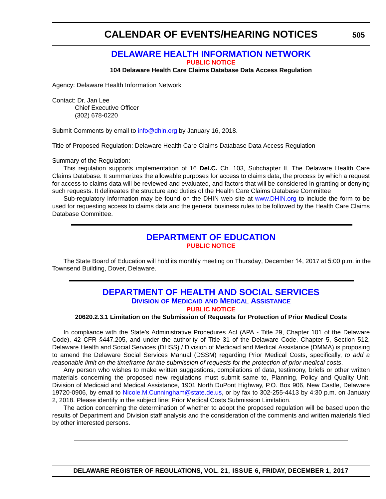# **[DELAWARE HEALTH INFORMATION NETWORK](https://dhin.org/)**

**[PUBLIC NOTICE](#page-4-0)**

**104 Delaware Health Care Claims Database Data Access Regulation**

<span id="page-52-0"></span>Agency: Delaware Health Information Network

Contact: Dr. Jan Lee Chief Executive Officer (302) 678-0220

Submit Comments by email to <info@dhin.org> by January 16, 2018.

Title of Proposed Regulation: Delaware Health Care Claims Database Data Access Regulation

#### Summary of the Regulation:

This regulation supports implementation of 16 **Del.C.** Ch. 103, Subchapter II, The Delaware Health Care Claims Database. It summarizes the allowable purposes for access to claims data, the process by which a request for access to claims data will be reviewed and evaluated, and factors that will be considered in granting or denying such requests. It delineates the structure and duties of the Health Care Claims Database Committee

Sub-regulatory information may be found on the DHIN web site at <www.DHIN.org> to include the form to be used for requesting access to claims data and the general business rules to be followed by the Health Care Claims Database Committee.

# **[DEPARTMENT OF EDUCATION](https://www.doe.k12.de.us/) [PUBLIC NOTICE](#page-4-0)**

The State Board of Education will hold its monthly meeting on Thursday, December 14, 2017 at 5:00 p.m. in the Townsend Building, Dover, Delaware.

# **[DEPARTMENT OF HEALTH AND SOCIAL SERVICES](http://www.dhss.delaware.gov/dhss/dmma/) DIVISION OF MEDICAID AND MEDICAL ASSISTANCE [PUBLIC NOTICE](#page-4-0)**

#### **20620.2.3.1 Limitation on the Submission of Requests for Protection of Prior Medical Costs**

In compliance with the State's Administrative Procedures Act (APA - Title 29, Chapter 101 of the Delaware Code), 42 CFR §447.205, and under the authority of Title 31 of the Delaware Code, Chapter 5, Section 512, Delaware Health and Social Services (DHSS) / Division of Medicaid and Medical Assistance (DMMA) is proposing to amend the Delaware Social Services Manual (DSSM) regarding Prior Medical Costs, specifically, *to add a reasonable limit on the timeframe for the submission of requests for the protection of prior medical costs*.

Any person who wishes to make written suggestions, compilations of data, testimony, briefs or other written materials concerning the proposed new regulations must submit same to, Planning, Policy and Quality Unit, Division of Medicaid and Medical Assistance, 1901 North DuPont Highway, P.O. Box 906, New Castle, Delaware 19720-0906, by email to [Nicole.M.Cunningham@state.de.us,](mailto:Nicole.M.Cunningham@state.de.us) or by fax to 302-255-4413 by 4:30 p.m. on January 2, 2018. Please identify in the subject line: Prior Medical Costs Submission Limitation.

The action concerning the determination of whether to adopt the proposed regulation will be based upon the results of Department and Division staff analysis and the consideration of the comments and written materials filed by other interested persons.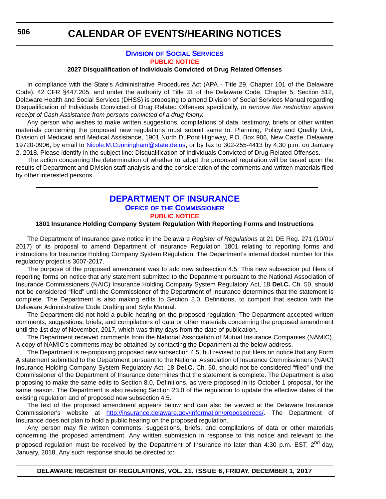### **DIVISION [OF SOCIAL SERVICES](http://www.dhss.delaware.gov/dhss/dss/) [PUBLIC NOTICE](#page-4-0)**

### **2027 Disqualification of Individuals Convicted of Drug Related Offenses**

<span id="page-53-0"></span>In compliance with the State's Administrative Procedures Act (APA - Title 29, Chapter 101 of the Delaware Code), 42 CFR §447.205, and under the authority of Title 31 of the Delaware Code, Chapter 5, Section 512, Delaware Health and Social Services (DHSS) is proposing to amend Division of Social Services Manual regarding Disqualification of Individuals Convicted of Drug Related Offenses specifically, *to remove the restriction against receipt of Cash Assistance from persons convicted of a drug felony.*

Any person who wishes to make written suggestions, compilations of data, testimony, briefs or other written materials concerning the proposed new regulations must submit same to, Planning, Policy and Quality Unit, Division of Medicaid and Medical Assistance, 1901 North DuPont Highway, P.O. Box 906, New Castle, Delaware 19720-0906, by email to [Nicole.M.Cunningham@state.de.us](mailto:Nicole.M.Cunningham@state.de.us), or by fax to 302-255-4413 by 4:30 p.m. on January 2, 2018. Please identify in the subject line: Disqualification of Individuals Convicted of Drug Related Offenses.

The action concerning the determination of whether to adopt the proposed regulation will be based upon the results of Department and Division staff analysis and the consideration of the comments and written materials filed by other interested persons.

# **[DEPARTMENT OF INSURANCE](https://insurance.delaware.gov/) OFFICE OF THE COMMISSIONER [PUBLIC NOTICE](#page-4-0)**

#### **1801 Insurance Holding Company System Regulation With Reporting Forms and Instructions**

The Department of Insurance gave notice in the Delaware *Register of Regulations* at 21 DE Reg. 271 (10/01/ 2017) of its proposal to amend Department of Insurance Regulation 1801 relating to reporting forms and instructions for Insurance Holding Company System Regulation. The Department's internal docket number for this regulatory project is 3607-2017.

The purpose of the proposed amendment was to add new subsection 4.5. This new subsection put filers of reporting forms on notice that any statement submitted to the Department pursuant to the National Association of Insurance Commissioners (NAIC) Insurance Holding Company System Regulatory Act, 18 **Del.C.** Ch. 50, should not be considered "filed" until the Commissioner of the Department of Insurance determines that the statement is complete. The Department is also making edits to Section 8.0, Definitions, to comport that section with the Delaware Administrative Code Drafting and Style Manual.

The Department did not hold a public hearing on the proposed regulation. The Department accepted written comments, suggestions, briefs, and compilations of data or other materials concerning the proposed amendment until the 1st day of November, 2017, which was thirty days from the date of publication.

The Department received comments from the National Association of Mutual Insurance Companies (NAMIC). A copy of NAMIC's comments may be obtained by contacting the Department at the below address.

The Department is re-proposing proposed new subsection 4.5, but revised to put filers on notice that any Form A statement submitted to the Department pursuant to the National Association of Insurance Commissioners (NAIC) Insurance Holding Company System Regulatory Act, 18 **Del.C.** Ch. 50, should not be considered "filed" until the Commissioner of the Department of Insurance determines that the statement is complete. The Department is also proposing to make the same edits to Section 8.0, Definitions, as were proposed in its October 1 proposal, for the same reason. The Department is also revising Section 23.0 of the regulation to update the effective dates of the existing regulation and of proposed new subsection 4.5.

The text of the proposed amendment appears below and can also be viewed at the Delaware Insurance Commissioner's website at <http://insurance.delaware.gov/information/proposedregs/>. The Department of Insurance does not plan to hold a public hearing on the proposed regulation.

Any person may file written comments, suggestions, briefs, and compilations of data or other materials concerning the proposed amendment. Any written submission in response to this notice and relevant to the proposed regulation must be received by the Department of Insurance no later than 4:30 p.m. EST, 2<sup>nd</sup> day, January, 2018. Any such response should be directed to: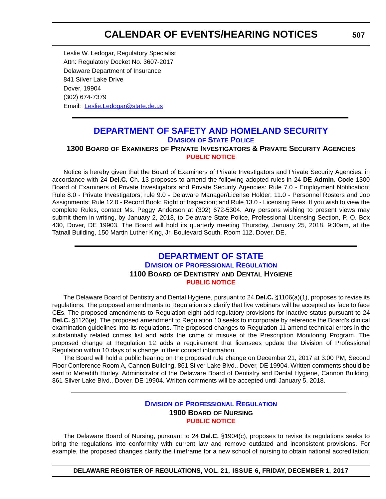<span id="page-54-0"></span>Leslie W. Ledogar, Regulatory Specialist Attn: Regulatory Docket No. 3607-2017 Delaware Department of Insurance 841 Silver Lake Drive Dover, 19904 (302) 674-7379 Email: [Leslie.Ledogar@state.de.us](mailto:Leslie.Ledogar@state.de.us)

# **[DEPARTMENT OF SAFETY AND HOMELAND SECURITY](http://dsp.delaware.gov/) DIVISION OF STATE POLICE 1300 BOARD OF EXAMINERS OF PRIVATE INVESTIGATORS & PRIVATE SECURITY AGENCIES [PUBLIC NOTICE](#page-4-0)**

Notice is hereby given that the Board of Examiners of Private Investigators and Private Security Agencies, in accordance with 24 **Del.C.** Ch. 13 proposes to amend the following adopted rules in 24 **DE Admin. Code** 1300 Board of Examiners of Private Investigators and Private Security Agencies: Rule 7.0 - Employment Notification; Rule 8.0 - Private Investigators; rule 9.0 - Delaware Manager/License Holder; 11.0 - Personnel Rosters and Job Assignments; Rule 12.0 - Record Book; Right of Inspection; and Rule 13.0 - Licensing Fees. If you wish to view the complete Rules, contact Ms. Peggy Anderson at (302) 672-5304. Any persons wishing to present views may submit them in writing, by January 2, 2018, to Delaware State Police, Professional Licensing Section, P. O. Box 430, Dover, DE 19903. The Board will hold its quarterly meeting Thursday, January 25, 2018, 9:30am, at the Tatnall Building, 150 Martin Luther King, Jr. Boulevard South, Room 112, Dover, DE.

# **[DEPARTMENT OF STATE](https://dpr.delaware.gov/) DIVISION OF PROFESSIONAL REGULATION 1100 BOARD OF DENTISTRY AND DENTAL HYGIENE [PUBLIC NOTICE](#page-4-0)**

The Delaware Board of Dentistry and Dental Hygiene, pursuant to 24 **Del.C.** §1106(a)(1), proposes to revise its regulations. The proposed amendments to Regulation six clarify that live webinars will be accepted as face to face CEs. The proposed amendments to Regulation eight add regulatory provisions for inactive status pursuant to 24 **Del.C.** §1126(e). The proposed amendment to Regulation 10 seeks to incorporate by reference the Board's clinical examination guidelines into its regulations. The proposed changes to Regulation 11 amend technical errors in the substantially related crimes list and adds the crime of misuse of the Prescription Monitoring Program. The proposed change at Regulation 12 adds a requirement that licensees update the Division of Professional Regulation within 10 days of a change in their contact information.

The Board will hold a public hearing on the proposed rule change on December 21, 2017 at 3:00 PM, Second Floor Conference Room A, Cannon Building, 861 Silver Lake Blvd., Dover, DE 19904. Written comments should be sent to Meredith Hurley, Administrator of the Delaware Board of Dentistry and Dental Hygiene, Cannon Building, 861 Silver Lake Blvd., Dover, DE 19904. Written comments will be accepted until January 5, 2018.

# **DIVISION [OF PROFESSIONAL REGULATION](https://dpr.delaware.gov/) 1900 BOARD OF NURSING [PUBLIC NOTICE](#page-4-0)**

The Delaware Board of Nursing, pursuant to 24 **Del.C.** §1904(c), proposes to revise its regulations seeks to bring the regulations into conformity with current law and remove outdated and inconsistent provisions. For example, the proposed changes clarify the timeframe for a new school of nursing to obtain national accreditation;

**DELAWARE REGISTER OF REGULATIONS, VOL. 21, ISSUE 6, FRIDAY, DECEMBER 1, 2017**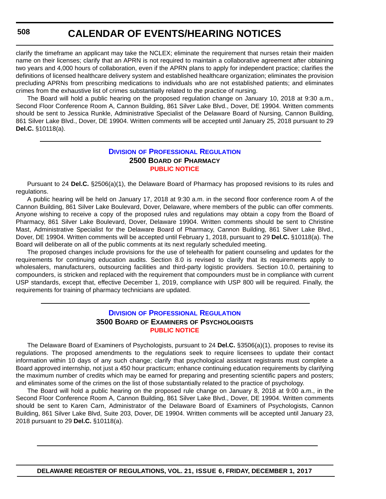clarify the timeframe an applicant may take the NCLEX; eliminate the requirement that nurses retain their maiden name on their licenses; clarify that an APRN is not required to maintain a collaborative agreement after obtaining two years and 4,000 hours of collaboration, even if the APRN plans to apply for independent practice; clarifies the definitions of licensed healthcare delivery system and established healthcare organization; eliminates the provision precluding APRNs from prescribing medications to individuals who are not established patients; and eliminates crimes from the exhaustive list of crimes substantially related to the practice of nursing.

The Board will hold a public hearing on the proposed regulation change on January 10, 2018 at 9:30 a.m., Second Floor Conference Room A, Cannon Building, 861 Silver Lake Blvd., Dover, DE 19904. Written comments should be sent to Jessica Runkle, Administrative Specialist of the Delaware Board of Nursing, Cannon Building, 861 Silver Lake Blvd., Dover, DE 19904. Written comments will be accepted until January 25, 2018 pursuant to 29 **Del.C.** §10118(a).

### **DIVISION [OF PROFESSIONAL REGULATION](https://dpr.delaware.gov/) 2500 BOARD OF PHARMACY [PUBLIC NOTICE](#page-4-0)**

Pursuant to 24 **Del.C.** §2506(a)(1), the Delaware Board of Pharmacy has proposed revisions to its rules and regulations.

A public hearing will be held on January 17, 2018 at 9:30 a.m. in the second floor conference room A of the Cannon Building, 861 Silver Lake Boulevard, Dover, Delaware, where members of the public can offer comments. Anyone wishing to receive a copy of the proposed rules and regulations may obtain a copy from the Board of Pharmacy, 861 Silver Lake Boulevard, Dover, Delaware 19904. Written comments should be sent to Christine Mast, Administrative Specialist for the Delaware Board of Pharmacy, Cannon Building, 861 Silver Lake Blvd., Dover, DE 19904. Written comments will be accepted until February 1, 2018, pursuant to 29 **Del.C.** §10118(a). The Board will deliberate on all of the public comments at its next regularly scheduled meeting.

The proposed changes include provisions for the use of telehealth for patient counseling and updates for the requirements for continuing education audits. Section 8.0 is revised to clarify that its requirements apply to wholesalers, manufacturers, outsourcing facilities and third-party logistic providers. Section 10.0, pertaining to compounders, is stricken and replaced with the requirement that compounders must be in compliance with current USP standards, except that, effective December 1, 2019, compliance with USP 800 will be required. Finally, the requirements for training of pharmacy technicians are updated.

### **DIVISION [OF PROFESSIONAL REGULATION](https://dpr.delaware.gov/) 3500 BOARD OF EXAMINERS OF PSYCHOLOGISTS [PUBLIC NOTICE](#page-4-0)**

The Delaware Board of Examiners of Psychologists, pursuant to 24 **Del.C.** §3506(a)(1), proposes to revise its regulations. The proposed amendments to the regulations seek to require licensees to update their contact information within 10 days of any such change; clarify that psychological assistant registrants must complete a Board approved internship, not just a 450 hour practicum; enhance continuing education requirements by clarifying the maximum number of credits which may be earned for preparing and presenting scientific papers and posters; and eliminates some of the crimes on the list of those substantially related to the practice of psychology.

The Board will hold a public hearing on the proposed rule change on January 8, 2018 at 9:00 a.m., in the Second Floor Conference Room A, Cannon Building, 861 Silver Lake Blvd., Dover, DE 19904. Written comments should be sent to Karen Carn, Administrator of the Delaware Board of Examiners of Psychologists, Cannon Building, 861 Silver Lake Blvd, Suite 203, Dover, DE 19904. Written comments will be accepted until January 23, 2018 pursuant to 29 **Del.C.** §10118(a).